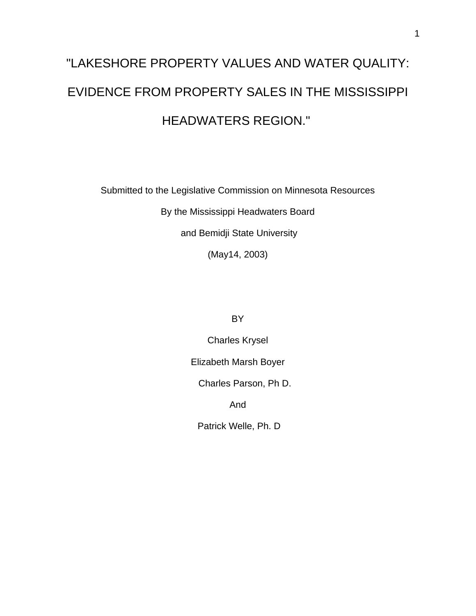# "LAKESHORE PROPERTY VALUES AND WATER QUALITY: EVIDENCE FROM PROPERTY SALES IN THE MISSISSIPPI HEADWATERS REGION."

Submitted to the Legislative Commission on Minnesota Resources

By the Mississippi Headwaters Board

and Bemidji State University

(May14, 2003)

**BY** 

Charles Krysel

Elizabeth Marsh Boyer

Charles Parson, Ph D.

And

Patrick Welle, Ph. D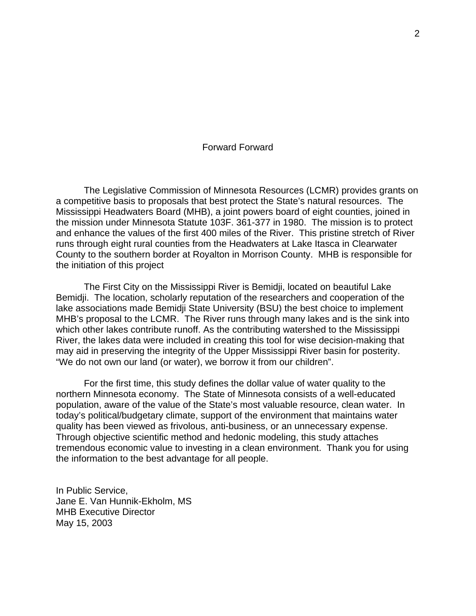# Forward Forward

The Legislative Commission of Minnesota Resources (LCMR) provides grants on a competitive basis to proposals that best protect the State's natural resources. The Mississippi Headwaters Board (MHB), a joint powers board of eight counties, joined in the mission under Minnesota Statute 103F. 361-377 in 1980. The mission is to protect and enhance the values of the first 400 miles of the River. This pristine stretch of River runs through eight rural counties from the Headwaters at Lake Itasca in Clearwater County to the southern border at Royalton in Morrison County. MHB is responsible for the initiation of this project

The First City on the Mississippi River is Bemidji, located on beautiful Lake Bemidji. The location, scholarly reputation of the researchers and cooperation of the lake associations made Bemidji State University (BSU) the best choice to implement MHB's proposal to the LCMR. The River runs through many lakes and is the sink into which other lakes contribute runoff. As the contributing watershed to the Mississippi River, the lakes data were included in creating this tool for wise decision-making that may aid in preserving the integrity of the Upper Mississippi River basin for posterity. "We do not own our land (or water), we borrow it from our children".

For the first time, this study defines the dollar value of water quality to the northern Minnesota economy. The State of Minnesota consists of a well-educated population, aware of the value of the State's most valuable resource, clean water. In today's political/budgetary climate, support of the environment that maintains water quality has been viewed as frivolous, anti-business, or an unnecessary expense. Through objective scientific method and hedonic modeling, this study attaches tremendous economic value to investing in a clean environment. Thank you for using the information to the best advantage for all people.

In Public Service, Jane E. Van Hunnik-Ekholm, MS MHB Executive Director May 15, 2003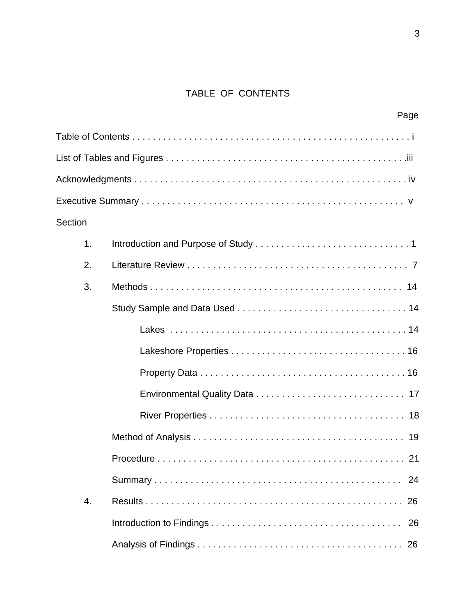# TABLE OF CONTENTS

|         | Page            |  |
|---------|-----------------|--|
|         |                 |  |
|         |                 |  |
|         |                 |  |
|         |                 |  |
| Section |                 |  |
| 1.      |                 |  |
| 2.      |                 |  |
| 3.      |                 |  |
|         |                 |  |
|         |                 |  |
|         |                 |  |
|         |                 |  |
|         |                 |  |
|         |                 |  |
|         |                 |  |
|         | Procedure<br>21 |  |
|         | 24              |  |
| 4.      | 26              |  |
|         | 26              |  |
|         |                 |  |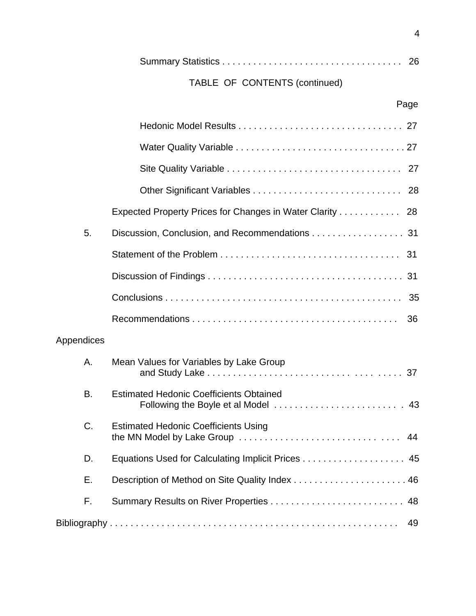|--|--|--|

# TABLE OF CONTENTS (continued)

|            | Expected Property Prices for Changes in Water Clarity 28                      |    |
|------------|-------------------------------------------------------------------------------|----|
| 5.         | Discussion, Conclusion, and Recommendations 31                                |    |
|            |                                                                               |    |
|            |                                                                               |    |
|            |                                                                               |    |
|            |                                                                               | 36 |
| Appendices |                                                                               |    |
| Α.         | Mean Values for Variables by Lake Group                                       |    |
| B.         | <b>Estimated Hedonic Coefficients Obtained</b>                                |    |
| C.         | <b>Estimated Hedonic Coefficients Using</b><br>the MN Model by Lake Group  44 |    |
| D.         | Equations Used for Calculating Implicit Prices 45                             |    |
| Е.         |                                                                               |    |
| F.         |                                                                               | 48 |
|            |                                                                               | 49 |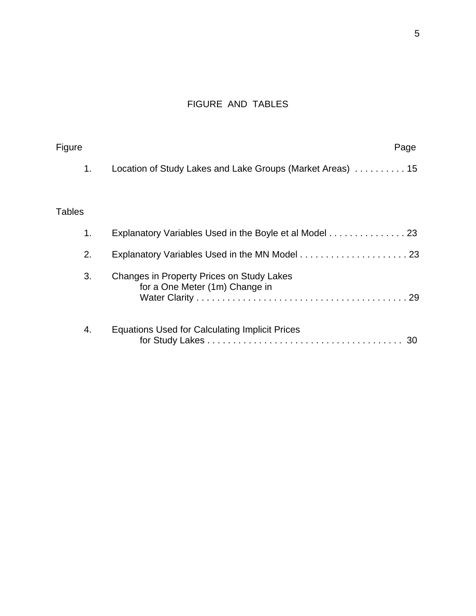# FIGURE AND TABLES

| Figure        | Page                                                                        |
|---------------|-----------------------------------------------------------------------------|
| 1.            | Location of Study Lakes and Lake Groups (Market Areas)  15                  |
| <b>Tables</b> |                                                                             |
| 1.            | Explanatory Variables Used in the Boyle et al Model 23                      |
| 2.            |                                                                             |
| 3.            | Changes in Property Prices on Study Lakes<br>for a One Meter (1m) Change in |
| 4.            | <b>Equations Used for Calculating Implicit Prices</b>                       |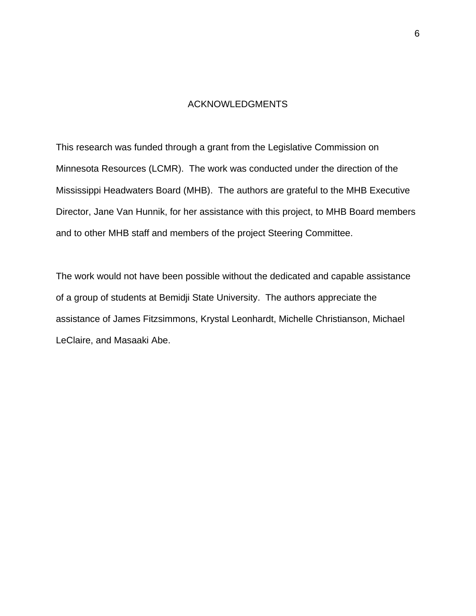# ACKNOWLEDGMENTS

This research was funded through a grant from the Legislative Commission on Minnesota Resources (LCMR). The work was conducted under the direction of the Mississippi Headwaters Board (MHB). The authors are grateful to the MHB Executive Director, Jane Van Hunnik, for her assistance with this project, to MHB Board members and to other MHB staff and members of the project Steering Committee.

The work would not have been possible without the dedicated and capable assistance of a group of students at Bemidji State University. The authors appreciate the assistance of James Fitzsimmons, Krystal Leonhardt, Michelle Christianson, Michael LeClaire, and Masaaki Abe.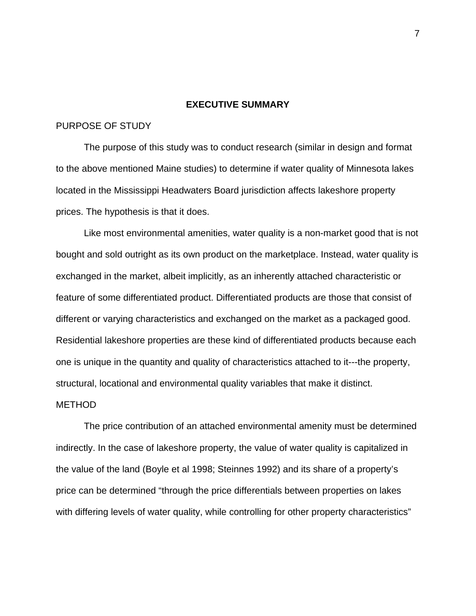## **EXECUTIVE SUMMARY**

## PURPOSE OF STUDY

The purpose of this study was to conduct research (similar in design and format to the above mentioned Maine studies) to determine if water quality of Minnesota lakes located in the Mississippi Headwaters Board jurisdiction affects lakeshore property prices. The hypothesis is that it does.

 Like most environmental amenities, water quality is a non-market good that is not bought and sold outright as its own product on the marketplace. Instead, water quality is exchanged in the market, albeit implicitly, as an inherently attached characteristic or feature of some differentiated product. Differentiated products are those that consist of different or varying characteristics and exchanged on the market as a packaged good. Residential lakeshore properties are these kind of differentiated products because each one is unique in the quantity and quality of characteristics attached to it---the property, structural, locational and environmental quality variables that make it distinct.

#### METHOD

The price contribution of an attached environmental amenity must be determined indirectly. In the case of lakeshore property, the value of water quality is capitalized in the value of the land (Boyle et al 1998; Steinnes 1992) and its share of a property's price can be determined "through the price differentials between properties on lakes with differing levels of water quality, while controlling for other property characteristics"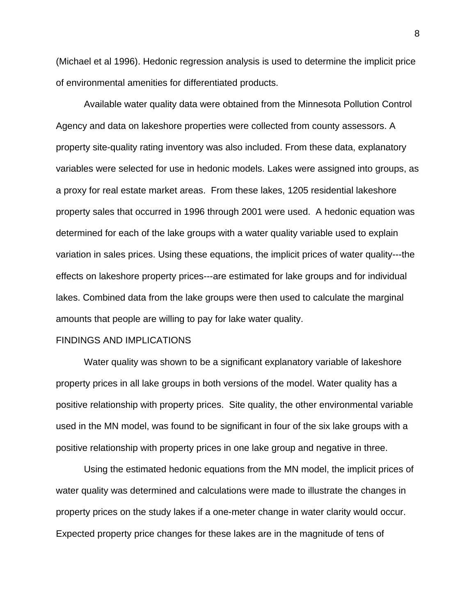(Michael et al 1996). Hedonic regression analysis is used to determine the implicit price of environmental amenities for differentiated products.

Available water quality data were obtained from the Minnesota Pollution Control Agency and data on lakeshore properties were collected from county assessors. A property site-quality rating inventory was also included. From these data, explanatory variables were selected for use in hedonic models. Lakes were assigned into groups, as a proxy for real estate market areas. From these lakes, 1205 residential lakeshore property sales that occurred in 1996 through 2001 were used. A hedonic equation was determined for each of the lake groups with a water quality variable used to explain variation in sales prices. Using these equations, the implicit prices of water quality---the effects on lakeshore property prices---are estimated for lake groups and for individual lakes. Combined data from the lake groups were then used to calculate the marginal amounts that people are willing to pay for lake water quality.

#### FINDINGS AND IMPLICATIONS

Water quality was shown to be a significant explanatory variable of lakeshore property prices in all lake groups in both versions of the model. Water quality has a positive relationship with property prices. Site quality, the other environmental variable used in the MN model, was found to be significant in four of the six lake groups with a positive relationship with property prices in one lake group and negative in three.

Using the estimated hedonic equations from the MN model, the implicit prices of water quality was determined and calculations were made to illustrate the changes in property prices on the study lakes if a one-meter change in water clarity would occur. Expected property price changes for these lakes are in the magnitude of tens of

8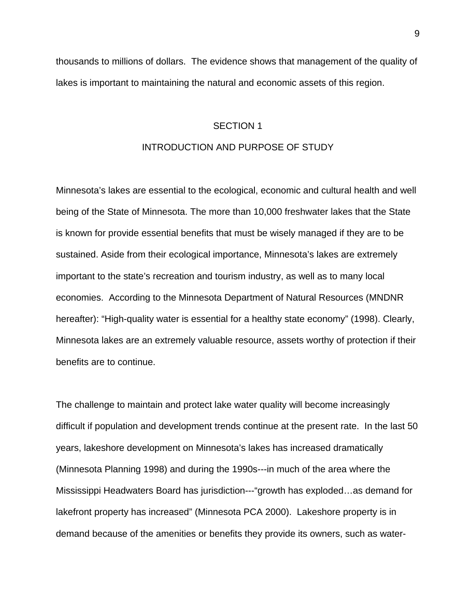thousands to millions of dollars. The evidence shows that management of the quality of lakes is important to maintaining the natural and economic assets of this region.

#### SECTION 1

## INTRODUCTION AND PURPOSE OF STUDY

Minnesota's lakes are essential to the ecological, economic and cultural health and well being of the State of Minnesota. The more than 10,000 freshwater lakes that the State is known for provide essential benefits that must be wisely managed if they are to be sustained. Aside from their ecological importance, Minnesota's lakes are extremely important to the state's recreation and tourism industry, as well as to many local economies. According to the Minnesota Department of Natural Resources (MNDNR hereafter): "High-quality water is essential for a healthy state economy" (1998). Clearly, Minnesota lakes are an extremely valuable resource, assets worthy of protection if their benefits are to continue.

The challenge to maintain and protect lake water quality will become increasingly difficult if population and development trends continue at the present rate. In the last 50 years, lakeshore development on Minnesota's lakes has increased dramatically (Minnesota Planning 1998) and during the 1990s---in much of the area where the Mississippi Headwaters Board has jurisdiction---"growth has exploded…as demand for lakefront property has increased" (Minnesota PCA 2000). Lakeshore property is in demand because of the amenities or benefits they provide its owners, such as water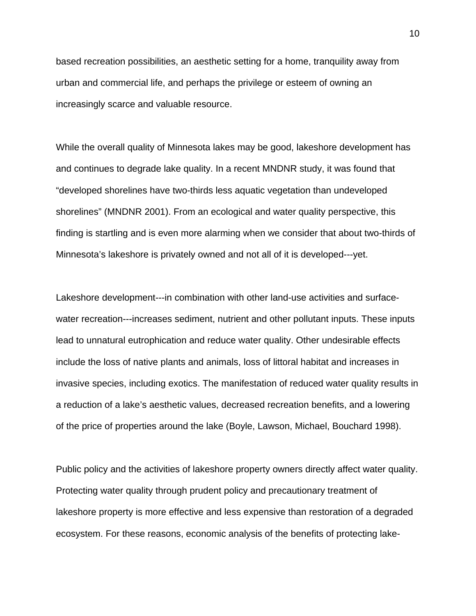based recreation possibilities, an aesthetic setting for a home, tranquility away from urban and commercial life, and perhaps the privilege or esteem of owning an increasingly scarce and valuable resource.

While the overall quality of Minnesota lakes may be good, lakeshore development has and continues to degrade lake quality. In a recent MNDNR study, it was found that "developed shorelines have two-thirds less aquatic vegetation than undeveloped shorelines" (MNDNR 2001). From an ecological and water quality perspective, this finding is startling and is even more alarming when we consider that about two-thirds of Minnesota's lakeshore is privately owned and not all of it is developed---yet.

Lakeshore development---in combination with other land-use activities and surfacewater recreation---increases sediment, nutrient and other pollutant inputs. These inputs lead to unnatural eutrophication and reduce water quality. Other undesirable effects include the loss of native plants and animals, loss of littoral habitat and increases in invasive species, including exotics. The manifestation of reduced water quality results in a reduction of a lake's aesthetic values, decreased recreation benefits, and a lowering of the price of properties around the lake (Boyle, Lawson, Michael, Bouchard 1998).

Public policy and the activities of lakeshore property owners directly affect water quality. Protecting water quality through prudent policy and precautionary treatment of lakeshore property is more effective and less expensive than restoration of a degraded ecosystem. For these reasons, economic analysis of the benefits of protecting lake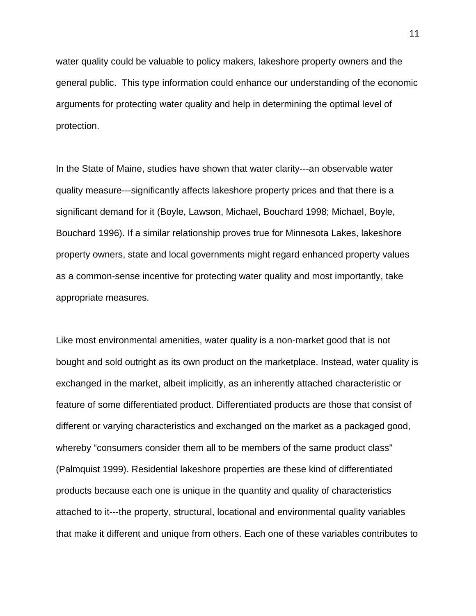water quality could be valuable to policy makers, lakeshore property owners and the general public. This type information could enhance our understanding of the economic arguments for protecting water quality and help in determining the optimal level of protection.

In the State of Maine, studies have shown that water clarity---an observable water quality measure---significantly affects lakeshore property prices and that there is a significant demand for it (Boyle, Lawson, Michael, Bouchard 1998; Michael, Boyle, Bouchard 1996). If a similar relationship proves true for Minnesota Lakes, lakeshore property owners, state and local governments might regard enhanced property values as a common-sense incentive for protecting water quality and most importantly, take appropriate measures.

Like most environmental amenities, water quality is a non-market good that is not bought and sold outright as its own product on the marketplace. Instead, water quality is exchanged in the market, albeit implicitly, as an inherently attached characteristic or feature of some differentiated product. Differentiated products are those that consist of different or varying characteristics and exchanged on the market as a packaged good, whereby "consumers consider them all to be members of the same product class" (Palmquist 1999). Residential lakeshore properties are these kind of differentiated products because each one is unique in the quantity and quality of characteristics attached to it---the property, structural, locational and environmental quality variables that make it different and unique from others. Each one of these variables contributes to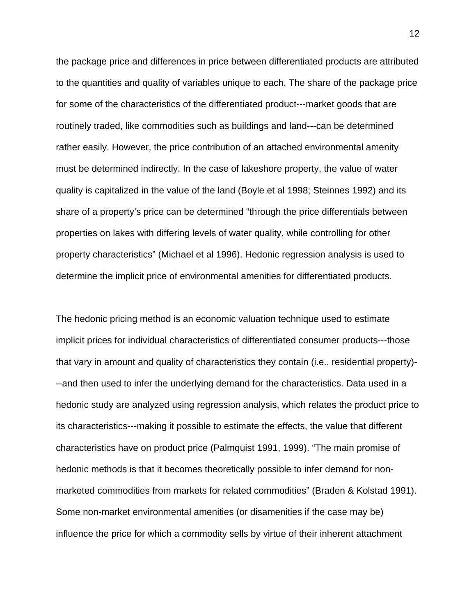the package price and differences in price between differentiated products are attributed to the quantities and quality of variables unique to each. The share of the package price for some of the characteristics of the differentiated product---market goods that are routinely traded, like commodities such as buildings and land---can be determined rather easily. However, the price contribution of an attached environmental amenity must be determined indirectly. In the case of lakeshore property, the value of water quality is capitalized in the value of the land (Boyle et al 1998; Steinnes 1992) and its share of a property's price can be determined "through the price differentials between properties on lakes with differing levels of water quality, while controlling for other property characteristics" (Michael et al 1996). Hedonic regression analysis is used to determine the implicit price of environmental amenities for differentiated products.

The hedonic pricing method is an economic valuation technique used to estimate implicit prices for individual characteristics of differentiated consumer products---those that vary in amount and quality of characteristics they contain (i.e., residential property)- --and then used to infer the underlying demand for the characteristics. Data used in a hedonic study are analyzed using regression analysis, which relates the product price to its characteristics---making it possible to estimate the effects, the value that different characteristics have on product price (Palmquist 1991, 1999). "The main promise of hedonic methods is that it becomes theoretically possible to infer demand for nonmarketed commodities from markets for related commodities" (Braden & Kolstad 1991). Some non-market environmental amenities (or disamenities if the case may be) influence the price for which a commodity sells by virtue of their inherent attachment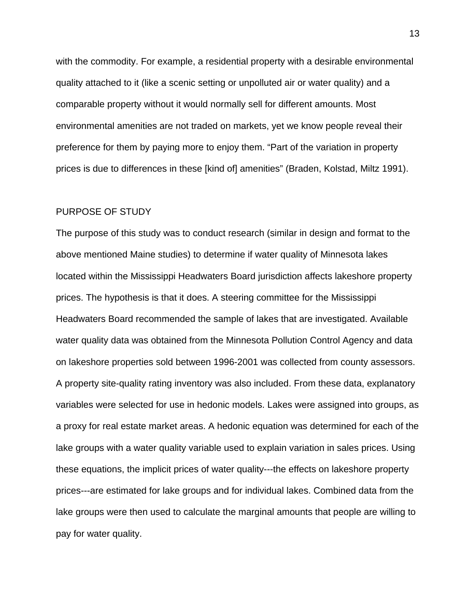with the commodity. For example, a residential property with a desirable environmental quality attached to it (like a scenic setting or unpolluted air or water quality) and a comparable property without it would normally sell for different amounts. Most environmental amenities are not traded on markets, yet we know people reveal their preference for them by paying more to enjoy them. "Part of the variation in property prices is due to differences in these [kind of] amenities" (Braden, Kolstad, Miltz 1991).

#### PURPOSE OF STUDY

The purpose of this study was to conduct research (similar in design and format to the above mentioned Maine studies) to determine if water quality of Minnesota lakes located within the Mississippi Headwaters Board jurisdiction affects lakeshore property prices. The hypothesis is that it does. A steering committee for the Mississippi Headwaters Board recommended the sample of lakes that are investigated. Available water quality data was obtained from the Minnesota Pollution Control Agency and data on lakeshore properties sold between 1996-2001 was collected from county assessors. A property site-quality rating inventory was also included. From these data, explanatory variables were selected for use in hedonic models. Lakes were assigned into groups, as a proxy for real estate market areas. A hedonic equation was determined for each of the lake groups with a water quality variable used to explain variation in sales prices. Using these equations, the implicit prices of water quality---the effects on lakeshore property prices---are estimated for lake groups and for individual lakes. Combined data from the lake groups were then used to calculate the marginal amounts that people are willing to pay for water quality.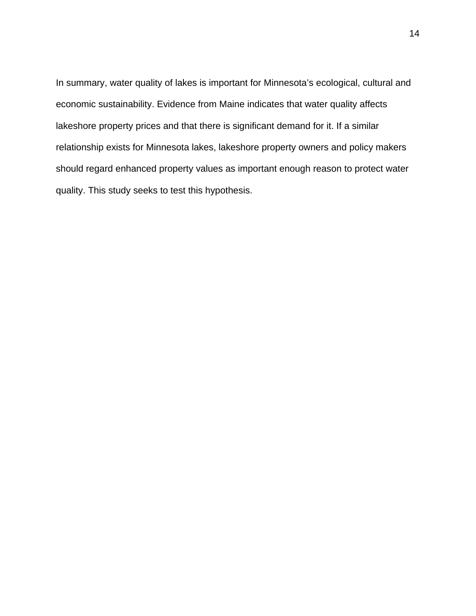In summary, water quality of lakes is important for Minnesota's ecological, cultural and economic sustainability. Evidence from Maine indicates that water quality affects lakeshore property prices and that there is significant demand for it. If a similar relationship exists for Minnesota lakes, lakeshore property owners and policy makers should regard enhanced property values as important enough reason to protect water quality. This study seeks to test this hypothesis.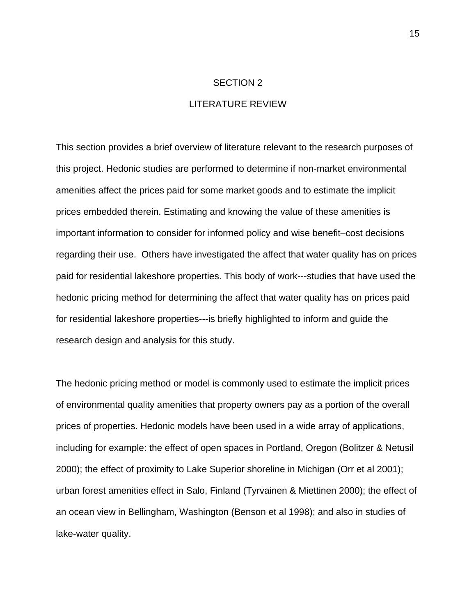# SECTION 2

# LITERATURE REVIEW

This section provides a brief overview of literature relevant to the research purposes of this project. Hedonic studies are performed to determine if non-market environmental amenities affect the prices paid for some market goods and to estimate the implicit prices embedded therein. Estimating and knowing the value of these amenities is important information to consider for informed policy and wise benefit–cost decisions regarding their use. Others have investigated the affect that water quality has on prices paid for residential lakeshore properties. This body of work---studies that have used the hedonic pricing method for determining the affect that water quality has on prices paid for residential lakeshore properties---is briefly highlighted to inform and guide the research design and analysis for this study.

The hedonic pricing method or model is commonly used to estimate the implicit prices of environmental quality amenities that property owners pay as a portion of the overall prices of properties. Hedonic models have been used in a wide array of applications, including for example: the effect of open spaces in Portland, Oregon (Bolitzer & Netusil 2000); the effect of proximity to Lake Superior shoreline in Michigan (Orr et al 2001); urban forest amenities effect in Salo, Finland (Tyrvainen & Miettinen 2000); the effect of an ocean view in Bellingham, Washington (Benson et al 1998); and also in studies of lake-water quality.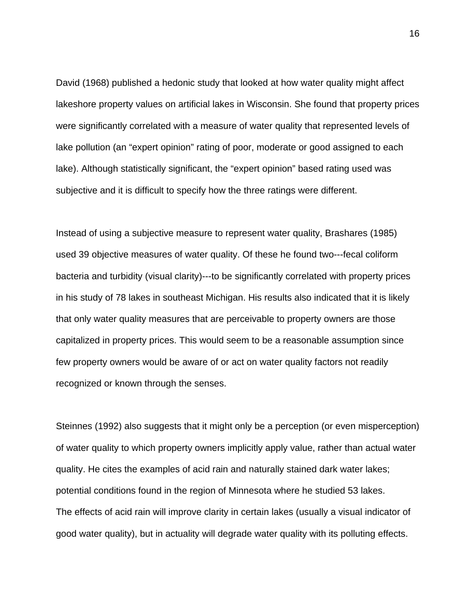David (1968) published a hedonic study that looked at how water quality might affect lakeshore property values on artificial lakes in Wisconsin. She found that property prices were significantly correlated with a measure of water quality that represented levels of lake pollution (an "expert opinion" rating of poor, moderate or good assigned to each lake). Although statistically significant, the "expert opinion" based rating used was subjective and it is difficult to specify how the three ratings were different.

Instead of using a subjective measure to represent water quality, Brashares (1985) used 39 objective measures of water quality. Of these he found two---fecal coliform bacteria and turbidity (visual clarity)---to be significantly correlated with property prices in his study of 78 lakes in southeast Michigan. His results also indicated that it is likely that only water quality measures that are perceivable to property owners are those capitalized in property prices. This would seem to be a reasonable assumption since few property owners would be aware of or act on water quality factors not readily recognized or known through the senses.

Steinnes (1992) also suggests that it might only be a perception (or even misperception) of water quality to which property owners implicitly apply value, rather than actual water quality. He cites the examples of acid rain and naturally stained dark water lakes; potential conditions found in the region of Minnesota where he studied 53 lakes. The effects of acid rain will improve clarity in certain lakes (usually a visual indicator of good water quality), but in actuality will degrade water quality with its polluting effects.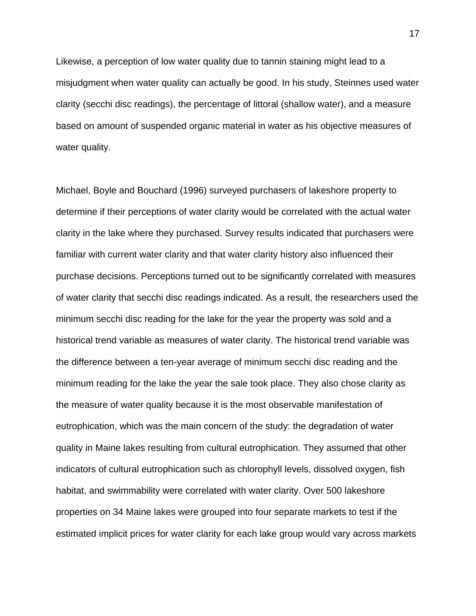Likewise, a perception of low water quality due to tannin staining might lead to a misjudgment when water quality can actually be good. In his study, Steinnes used water clarity (secchi disc readings), the percentage of littoral (shallow water), and a measure based on amount of suspended organic material in water as his objective measures of water quality.

Michael, Boyle and Bouchard (1996) surveyed purchasers of lakeshore property to determine if their perceptions of water clarity would be correlated with the actual water clarity in the lake where they purchased. Survey results indicated that purchasers were familiar with current water clarity and that water clarity history also influenced their purchase decisions. Perceptions turned out to be significantly correlated with measures of water clarity that secchi disc readings indicated. As a result, the researchers used the minimum secchi disc reading for the lake for the year the property was sold and a historical trend variable as measures of water clarity. The historical trend variable was the difference between a ten-year average of minimum secchi disc reading and the minimum reading for the lake the year the sale took place. They also chose clarity as the measure of water quality because it is the most observable manifestation of eutrophication, which was the main concern of the study: the degradation of water quality in Maine lakes resulting from cultural eutrophication. They assumed that other indicators of cultural eutrophication such as chlorophyll levels, dissolved oxygen, fish habitat, and swimmability were correlated with water clarity. Over 500 lakeshore properties on 34 Maine lakes were grouped into four separate markets to test if the estimated implicit prices for water clarity for each lake group would vary across markets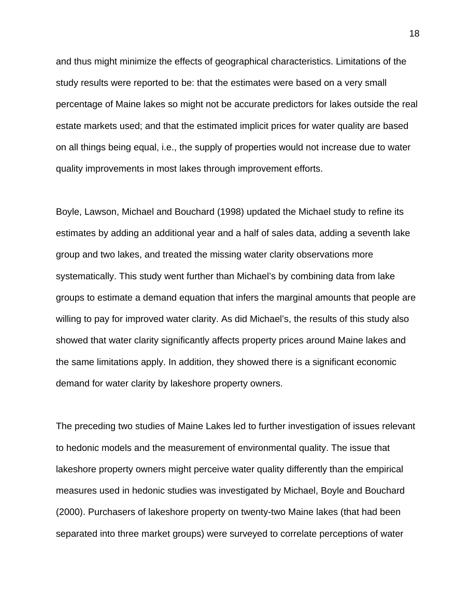and thus might minimize the effects of geographical characteristics. Limitations of the study results were reported to be: that the estimates were based on a very small percentage of Maine lakes so might not be accurate predictors for lakes outside the real estate markets used; and that the estimated implicit prices for water quality are based on all things being equal, i.e., the supply of properties would not increase due to water quality improvements in most lakes through improvement efforts.

Boyle, Lawson, Michael and Bouchard (1998) updated the Michael study to refine its estimates by adding an additional year and a half of sales data, adding a seventh lake group and two lakes, and treated the missing water clarity observations more systematically. This study went further than Michael's by combining data from lake groups to estimate a demand equation that infers the marginal amounts that people are willing to pay for improved water clarity. As did Michael's, the results of this study also showed that water clarity significantly affects property prices around Maine lakes and the same limitations apply. In addition, they showed there is a significant economic demand for water clarity by lakeshore property owners.

The preceding two studies of Maine Lakes led to further investigation of issues relevant to hedonic models and the measurement of environmental quality. The issue that lakeshore property owners might perceive water quality differently than the empirical measures used in hedonic studies was investigated by Michael, Boyle and Bouchard (2000). Purchasers of lakeshore property on twenty-two Maine lakes (that had been separated into three market groups) were surveyed to correlate perceptions of water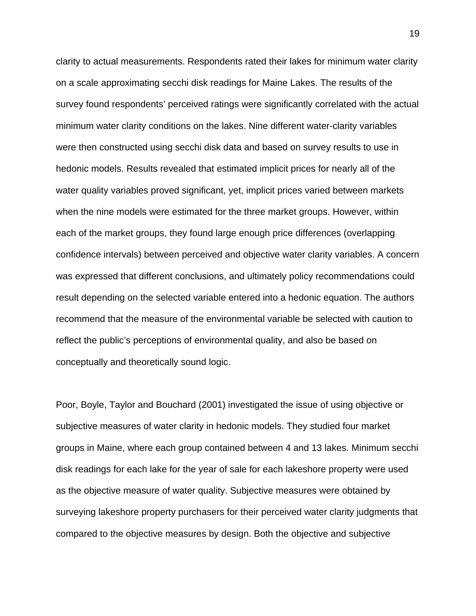clarity to actual measurements. Respondents rated their lakes for minimum water clarity on a scale approximating secchi disk readings for Maine Lakes. The results of the survey found respondents' perceived ratings were significantly correlated with the actual minimum water clarity conditions on the lakes. Nine different water-clarity variables were then constructed using secchi disk data and based on survey results to use in hedonic models. Results revealed that estimated implicit prices for nearly all of the water quality variables proved significant, yet, implicit prices varied between markets when the nine models were estimated for the three market groups. However, within each of the market groups, they found large enough price differences (overlapping confidence intervals) between perceived and objective water clarity variables. A concern was expressed that different conclusions, and ultimately policy recommendations could result depending on the selected variable entered into a hedonic equation. The authors recommend that the measure of the environmental variable be selected with caution to reflect the public's perceptions of environmental quality, and also be based on conceptually and theoretically sound logic.

Poor, Boyle, Taylor and Bouchard (2001) investigated the issue of using objective or subjective measures of water clarity in hedonic models. They studied four market groups in Maine, where each group contained between 4 and 13 lakes. Minimum secchi disk readings for each lake for the year of sale for each lakeshore property were used as the objective measure of water quality. Subjective measures were obtained by surveying lakeshore property purchasers for their perceived water clarity judgments that compared to the objective measures by design. Both the objective and subjective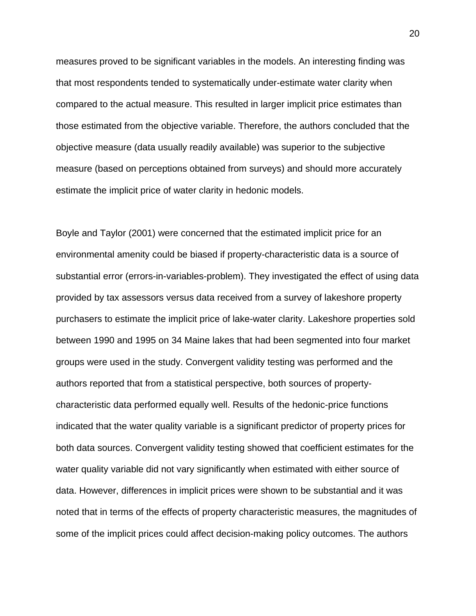measures proved to be significant variables in the models. An interesting finding was that most respondents tended to systematically under-estimate water clarity when compared to the actual measure. This resulted in larger implicit price estimates than those estimated from the objective variable. Therefore, the authors concluded that the objective measure (data usually readily available) was superior to the subjective measure (based on perceptions obtained from surveys) and should more accurately estimate the implicit price of water clarity in hedonic models.

Boyle and Taylor (2001) were concerned that the estimated implicit price for an environmental amenity could be biased if property-characteristic data is a source of substantial error (errors-in-variables-problem). They investigated the effect of using data provided by tax assessors versus data received from a survey of lakeshore property purchasers to estimate the implicit price of lake-water clarity. Lakeshore properties sold between 1990 and 1995 on 34 Maine lakes that had been segmented into four market groups were used in the study. Convergent validity testing was performed and the authors reported that from a statistical perspective, both sources of propertycharacteristic data performed equally well. Results of the hedonic-price functions indicated that the water quality variable is a significant predictor of property prices for both data sources. Convergent validity testing showed that coefficient estimates for the water quality variable did not vary significantly when estimated with either source of data. However, differences in implicit prices were shown to be substantial and it was noted that in terms of the effects of property characteristic measures, the magnitudes of some of the implicit prices could affect decision-making policy outcomes. The authors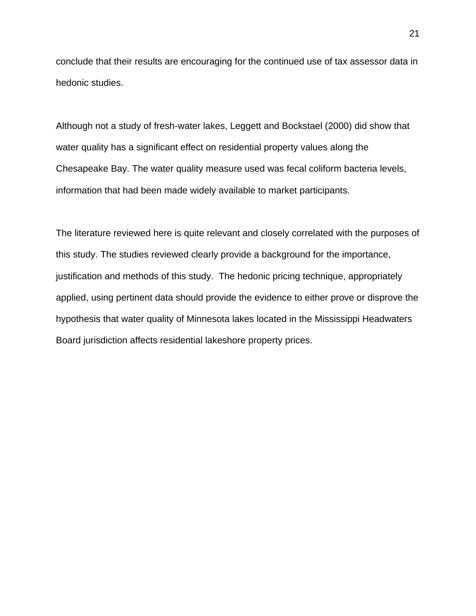conclude that their results are encouraging for the continued use of tax assessor data in hedonic studies.

Although not a study of fresh-water lakes, Leggett and Bockstael (2000) did show that water quality has a significant effect on residential property values along the Chesapeake Bay. The water quality measure used was fecal coliform bacteria levels, information that had been made widely available to market participants.

The literature reviewed here is quite relevant and closely correlated with the purposes of this study. The studies reviewed clearly provide a background for the importance, justification and methods of this study. The hedonic pricing technique, appropriately applied, using pertinent data should provide the evidence to either prove or disprove the hypothesis that water quality of Minnesota lakes located in the Mississippi Headwaters Board jurisdiction affects residential lakeshore property prices.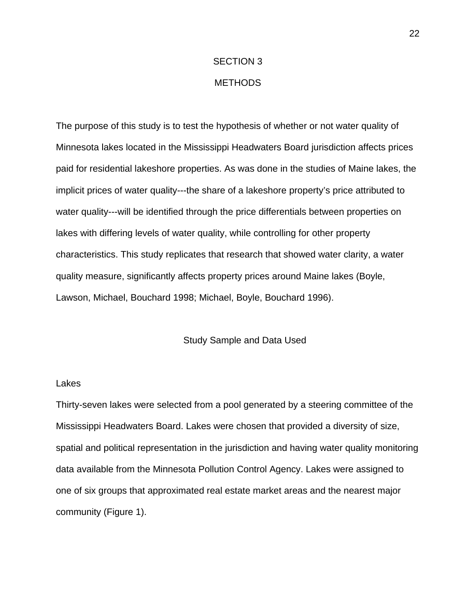#### SECTION 3

# METHODS

The purpose of this study is to test the hypothesis of whether or not water quality of Minnesota lakes located in the Mississippi Headwaters Board jurisdiction affects prices paid for residential lakeshore properties. As was done in the studies of Maine lakes, the implicit prices of water quality---the share of a lakeshore property's price attributed to water quality---will be identified through the price differentials between properties on lakes with differing levels of water quality, while controlling for other property characteristics. This study replicates that research that showed water clarity, a water quality measure, significantly affects property prices around Maine lakes (Boyle, Lawson, Michael, Bouchard 1998; Michael, Boyle, Bouchard 1996).

#### Study Sample and Data Used

#### Lakes

Thirty-seven lakes were selected from a pool generated by a steering committee of the Mississippi Headwaters Board. Lakes were chosen that provided a diversity of size, spatial and political representation in the jurisdiction and having water quality monitoring data available from the Minnesota Pollution Control Agency. Lakes were assigned to one of six groups that approximated real estate market areas and the nearest major community (Figure 1).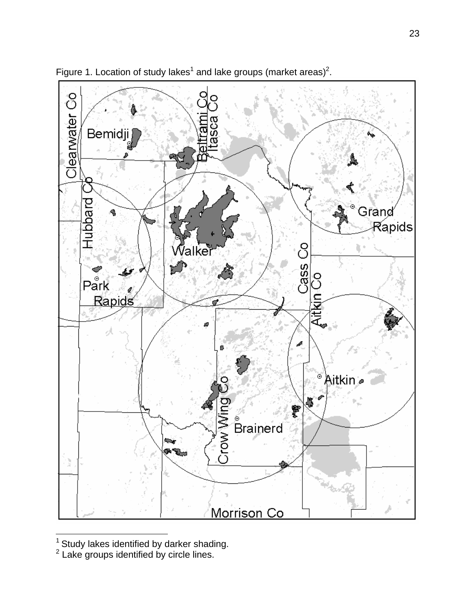

Figure 1. Location of study lakes<sup>1</sup> and lake groups (market areas)<sup>2</sup>.

1

 $^{\rm 1}$  Study lakes identified by darker shading.<br> $^{\rm 2}$  Lake groups identified by circle lines.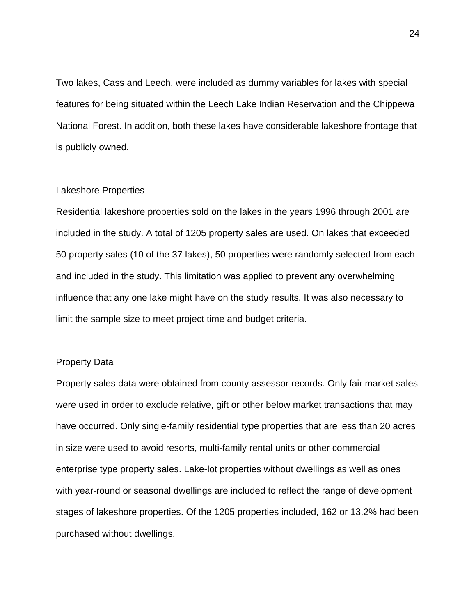Two lakes, Cass and Leech, were included as dummy variables for lakes with special features for being situated within the Leech Lake Indian Reservation and the Chippewa National Forest. In addition, both these lakes have considerable lakeshore frontage that is publicly owned.

#### Lakeshore Properties

Residential lakeshore properties sold on the lakes in the years 1996 through 2001 are included in the study. A total of 1205 property sales are used. On lakes that exceeded 50 property sales (10 of the 37 lakes), 50 properties were randomly selected from each and included in the study. This limitation was applied to prevent any overwhelming influence that any one lake might have on the study results. It was also necessary to limit the sample size to meet project time and budget criteria.

## Property Data

Property sales data were obtained from county assessor records. Only fair market sales were used in order to exclude relative, gift or other below market transactions that may have occurred. Only single-family residential type properties that are less than 20 acres in size were used to avoid resorts, multi-family rental units or other commercial enterprise type property sales. Lake-lot properties without dwellings as well as ones with year-round or seasonal dwellings are included to reflect the range of development stages of lakeshore properties. Of the 1205 properties included, 162 or 13.2% had been purchased without dwellings.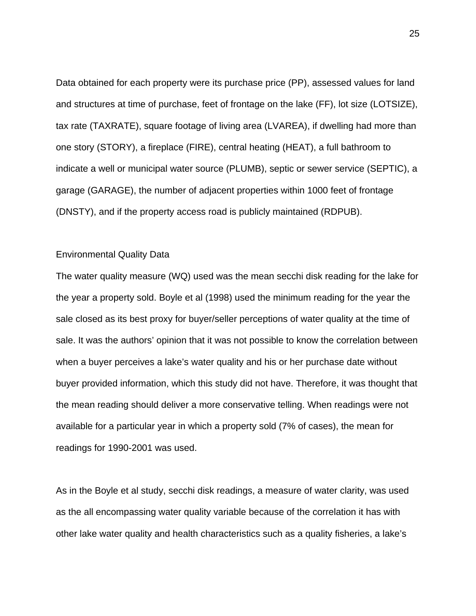Data obtained for each property were its purchase price (PP), assessed values for land and structures at time of purchase, feet of frontage on the lake (FF), lot size (LOTSIZE), tax rate (TAXRATE), square footage of living area (LVAREA), if dwelling had more than one story (STORY), a fireplace (FIRE), central heating (HEAT), a full bathroom to indicate a well or municipal water source (PLUMB), septic or sewer service (SEPTIC), a garage (GARAGE), the number of adjacent properties within 1000 feet of frontage (DNSTY), and if the property access road is publicly maintained (RDPUB).

## Environmental Quality Data

The water quality measure (WQ) used was the mean secchi disk reading for the lake for the year a property sold. Boyle et al (1998) used the minimum reading for the year the sale closed as its best proxy for buyer/seller perceptions of water quality at the time of sale. It was the authors' opinion that it was not possible to know the correlation between when a buyer perceives a lake's water quality and his or her purchase date without buyer provided information, which this study did not have. Therefore, it was thought that the mean reading should deliver a more conservative telling. When readings were not available for a particular year in which a property sold (7% of cases), the mean for readings for 1990-2001 was used.

As in the Boyle et al study, secchi disk readings, a measure of water clarity, was used as the all encompassing water quality variable because of the correlation it has with other lake water quality and health characteristics such as a quality fisheries, a lake's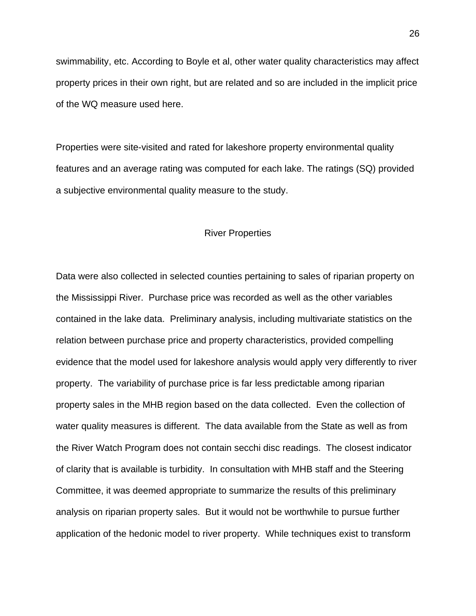swimmability, etc. According to Boyle et al, other water quality characteristics may affect property prices in their own right, but are related and so are included in the implicit price of the WQ measure used here.

Properties were site-visited and rated for lakeshore property environmental quality features and an average rating was computed for each lake. The ratings (SQ) provided a subjective environmental quality measure to the study.

#### River Properties

Data were also collected in selected counties pertaining to sales of riparian property on the Mississippi River. Purchase price was recorded as well as the other variables contained in the lake data. Preliminary analysis, including multivariate statistics on the relation between purchase price and property characteristics, provided compelling evidence that the model used for lakeshore analysis would apply very differently to river property. The variability of purchase price is far less predictable among riparian property sales in the MHB region based on the data collected. Even the collection of water quality measures is different. The data available from the State as well as from the River Watch Program does not contain secchi disc readings. The closest indicator of clarity that is available is turbidity. In consultation with MHB staff and the Steering Committee, it was deemed appropriate to summarize the results of this preliminary analysis on riparian property sales. But it would not be worthwhile to pursue further application of the hedonic model to river property. While techniques exist to transform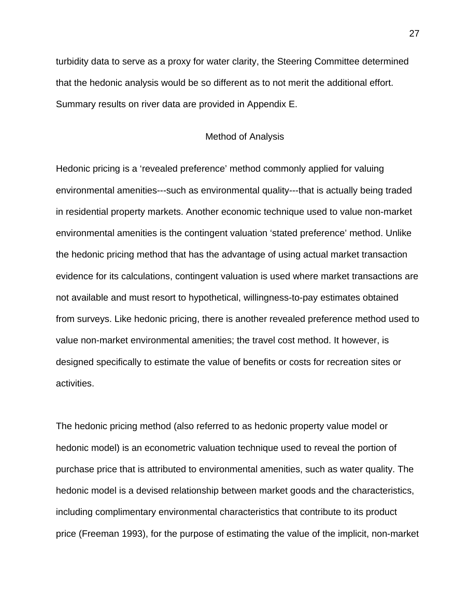turbidity data to serve as a proxy for water clarity, the Steering Committee determined that the hedonic analysis would be so different as to not merit the additional effort. Summary results on river data are provided in Appendix E.

# Method of Analysis

Hedonic pricing is a 'revealed preference' method commonly applied for valuing environmental amenities---such as environmental quality---that is actually being traded in residential property markets. Another economic technique used to value non-market environmental amenities is the contingent valuation 'stated preference' method. Unlike the hedonic pricing method that has the advantage of using actual market transaction evidence for its calculations, contingent valuation is used where market transactions are not available and must resort to hypothetical, willingness-to-pay estimates obtained from surveys. Like hedonic pricing, there is another revealed preference method used to value non-market environmental amenities; the travel cost method. It however, is designed specifically to estimate the value of benefits or costs for recreation sites or activities.

The hedonic pricing method (also referred to as hedonic property value model or hedonic model) is an econometric valuation technique used to reveal the portion of purchase price that is attributed to environmental amenities, such as water quality. The hedonic model is a devised relationship between market goods and the characteristics, including complimentary environmental characteristics that contribute to its product price (Freeman 1993), for the purpose of estimating the value of the implicit, non-market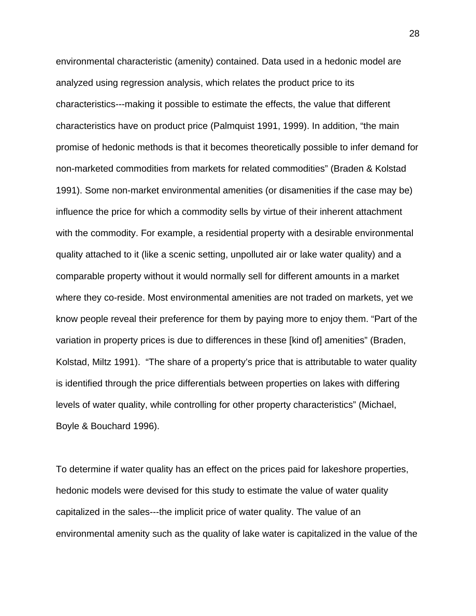environmental characteristic (amenity) contained. Data used in a hedonic model are analyzed using regression analysis, which relates the product price to its characteristics---making it possible to estimate the effects, the value that different characteristics have on product price (Palmquist 1991, 1999). In addition, "the main promise of hedonic methods is that it becomes theoretically possible to infer demand for non-marketed commodities from markets for related commodities" (Braden & Kolstad 1991). Some non-market environmental amenities (or disamenities if the case may be) influence the price for which a commodity sells by virtue of their inherent attachment with the commodity. For example, a residential property with a desirable environmental quality attached to it (like a scenic setting, unpolluted air or lake water quality) and a comparable property without it would normally sell for different amounts in a market where they co-reside. Most environmental amenities are not traded on markets, yet we know people reveal their preference for them by paying more to enjoy them. "Part of the variation in property prices is due to differences in these [kind of] amenities" (Braden, Kolstad, Miltz 1991). "The share of a property's price that is attributable to water quality is identified through the price differentials between properties on lakes with differing levels of water quality, while controlling for other property characteristics" (Michael, Boyle & Bouchard 1996).

To determine if water quality has an effect on the prices paid for lakeshore properties, hedonic models were devised for this study to estimate the value of water quality capitalized in the sales---the implicit price of water quality. The value of an environmental amenity such as the quality of lake water is capitalized in the value of the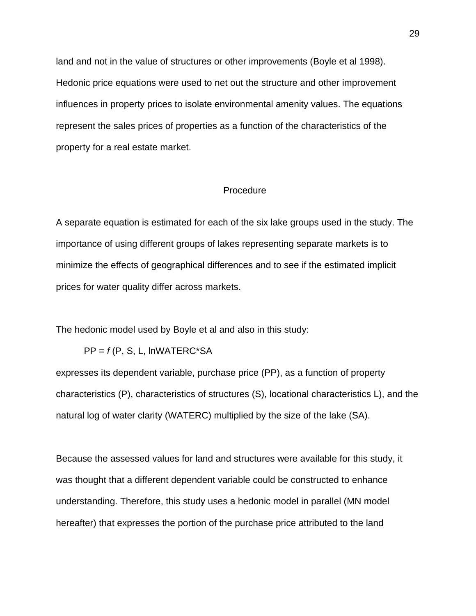land and not in the value of structures or other improvements (Boyle et al 1998). Hedonic price equations were used to net out the structure and other improvement influences in property prices to isolate environmental amenity values. The equations represent the sales prices of properties as a function of the characteristics of the property for a real estate market.

# **Procedure**

A separate equation is estimated for each of the six lake groups used in the study. The importance of using different groups of lakes representing separate markets is to minimize the effects of geographical differences and to see if the estimated implicit prices for water quality differ across markets.

The hedonic model used by Boyle et al and also in this study:

 $PP = f(P, S, L, \text{INWATERC*SA})$ 

expresses its dependent variable, purchase price (PP), as a function of property characteristics (P), characteristics of structures (S), locational characteristics L), and the natural log of water clarity (WATERC) multiplied by the size of the lake (SA).

Because the assessed values for land and structures were available for this study, it was thought that a different dependent variable could be constructed to enhance understanding. Therefore, this study uses a hedonic model in parallel (MN model hereafter) that expresses the portion of the purchase price attributed to the land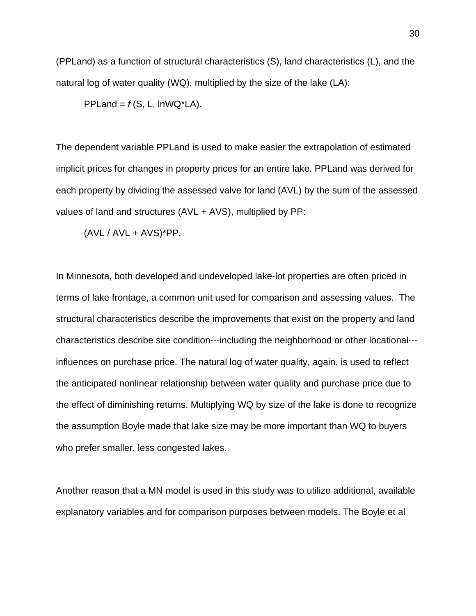(PPLand) as a function of structural characteristics (S), land characteristics (L), and the natural log of water quality (WQ), multiplied by the size of the lake (LA):

PPLand =  $f(S, L, \text{InWQ*LA}).$ 

The dependent variable PPLand is used to make easier the extrapolation of estimated implicit prices for changes in property prices for an entire lake. PPLand was derived for each property by dividing the assessed valve for land (AVL) by the sum of the assessed values of land and structures (AVL + AVS), multiplied by PP:

 $(AVL / AVL + AVS)^*PP$ .

In Minnesota, both developed and undeveloped lake-lot properties are often priced in terms of lake frontage, a common unit used for comparison and assessing values. The structural characteristics describe the improvements that exist on the property and land characteristics describe site condition---including the neighborhood or other locational-- influences on purchase price. The natural log of water quality, again, is used to reflect the anticipated nonlinear relationship between water quality and purchase price due to the effect of diminishing returns. Multiplying WQ by size of the lake is done to recognize the assumption Boyle made that lake size may be more important than WQ to buyers who prefer smaller, less congested lakes.

Another reason that a MN model is used in this study was to utilize additional, available explanatory variables and for comparison purposes between models. The Boyle et al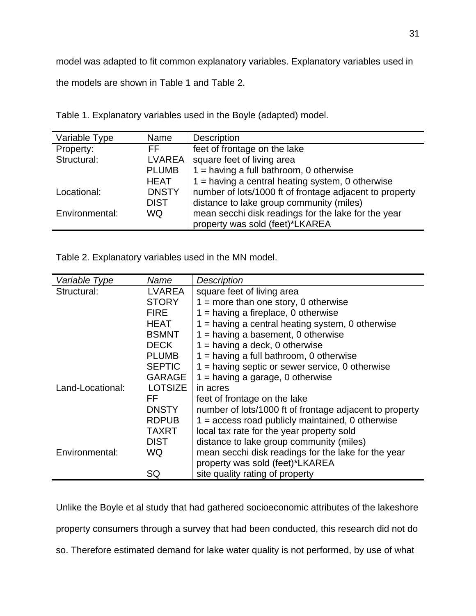model was adapted to fit common explanatory variables. Explanatory variables used in

the models are shown in Table 1 and Table 2.

| Variable Type  | Name          | <b>Description</b>                                      |
|----------------|---------------|---------------------------------------------------------|
| Property:      | FF.           | feet of frontage on the lake                            |
| Structural:    | <b>LVAREA</b> | square feet of living area                              |
|                | <b>PLUMB</b>  | $1 =$ having a full bathroom, 0 otherwise               |
|                | <b>HEAT</b>   | $1 =$ having a central heating system, 0 otherwise      |
| Locational:    | <b>DNSTY</b>  | number of lots/1000 ft of frontage adjacent to property |
|                | <b>DIST</b>   | distance to lake group community (miles)                |
| Environmental: | WQ            | mean secchi disk readings for the lake for the year     |
|                |               | property was sold (feet)*LKAREA                         |

Table 1. Explanatory variables used in the Boyle (adapted) model.

Table 2. Explanatory variables used in the MN model.

| Variable Type    | Name           | <b>Description</b>                                      |
|------------------|----------------|---------------------------------------------------------|
| Structural:      | <b>LVAREA</b>  | square feet of living area                              |
|                  | <b>STORY</b>   | $1 =$ more than one story, 0 otherwise                  |
|                  | <b>FIRE</b>    | $1 =$ having a fireplace, 0 otherwise                   |
|                  | <b>HEAT</b>    | $1 =$ having a central heating system, 0 otherwise      |
|                  | <b>BSMNT</b>   | $1 =$ having a basement, 0 otherwise                    |
|                  | <b>DECK</b>    | $1 =$ having a deck, 0 otherwise                        |
|                  | <b>PLUMB</b>   | $1 =$ having a full bathroom, 0 otherwise               |
|                  | <b>SEPTIC</b>  | $1 =$ having septic or sewer service, 0 otherwise       |
|                  | <b>GARAGE</b>  | $1 =$ having a garage, 0 otherwise                      |
| Land-Locational: | <b>LOTSIZE</b> | in acres                                                |
|                  | FF.            | feet of frontage on the lake                            |
|                  | <b>DNSTY</b>   | number of lots/1000 ft of frontage adjacent to property |
|                  | <b>RDPUB</b>   | $1 =$ access road publicly maintained, 0 otherwise      |
|                  | TAXRT          | local tax rate for the year property sold               |
|                  | <b>DIST</b>    | distance to lake group community (miles)                |
| Environmental:   | WQ             | mean secchi disk readings for the lake for the year     |
|                  |                | property was sold (feet)*LKAREA                         |
|                  | SQ             | site quality rating of property                         |

Unlike the Boyle et al study that had gathered socioeconomic attributes of the lakeshore property consumers through a survey that had been conducted, this research did not do so. Therefore estimated demand for lake water quality is not performed, by use of what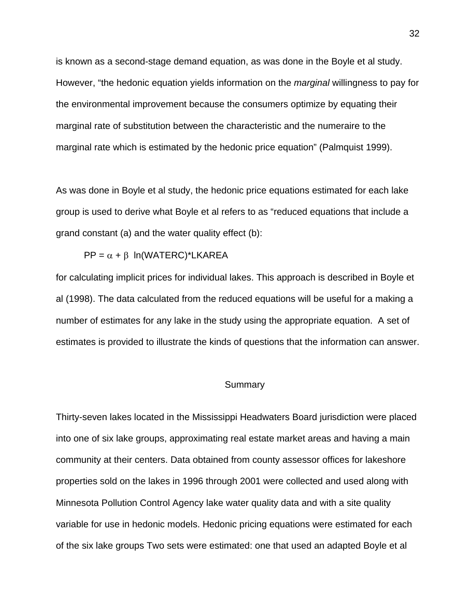is known as a second-stage demand equation, as was done in the Boyle et al study. However, "the hedonic equation yields information on the *marginal* willingness to pay for the environmental improvement because the consumers optimize by equating their marginal rate of substitution between the characteristic and the numeraire to the marginal rate which is estimated by the hedonic price equation" (Palmquist 1999).

As was done in Boyle et al study, the hedonic price equations estimated for each lake group is used to derive what Boyle et al refers to as "reduced equations that include a grand constant (a) and the water quality effect (b):

 $PP = \alpha + \beta$  ln(WATERC)\*LKAREA

for calculating implicit prices for individual lakes. This approach is described in Boyle et al (1998). The data calculated from the reduced equations will be useful for a making a number of estimates for any lake in the study using the appropriate equation. A set of estimates is provided to illustrate the kinds of questions that the information can answer.

# **Summary**

Thirty-seven lakes located in the Mississippi Headwaters Board jurisdiction were placed into one of six lake groups, approximating real estate market areas and having a main community at their centers. Data obtained from county assessor offices for lakeshore properties sold on the lakes in 1996 through 2001 were collected and used along with Minnesota Pollution Control Agency lake water quality data and with a site quality variable for use in hedonic models. Hedonic pricing equations were estimated for each of the six lake groups Two sets were estimated: one that used an adapted Boyle et al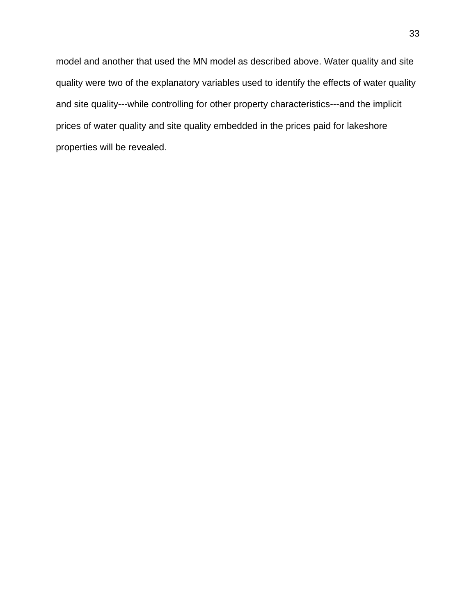model and another that used the MN model as described above. Water quality and site quality were two of the explanatory variables used to identify the effects of water quality and site quality---while controlling for other property characteristics---and the implicit prices of water quality and site quality embedded in the prices paid for lakeshore properties will be revealed.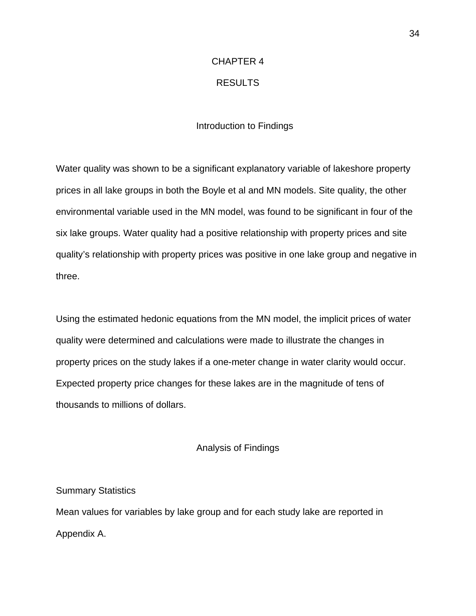# CHAPTER 4

# RESULTS

# Introduction to Findings

Water quality was shown to be a significant explanatory variable of lakeshore property prices in all lake groups in both the Boyle et al and MN models. Site quality, the other environmental variable used in the MN model, was found to be significant in four of the six lake groups. Water quality had a positive relationship with property prices and site quality's relationship with property prices was positive in one lake group and negative in three.

Using the estimated hedonic equations from the MN model, the implicit prices of water quality were determined and calculations were made to illustrate the changes in property prices on the study lakes if a one-meter change in water clarity would occur. Expected property price changes for these lakes are in the magnitude of tens of thousands to millions of dollars.

## Analysis of Findings

Summary Statistics

Mean values for variables by lake group and for each study lake are reported in Appendix A.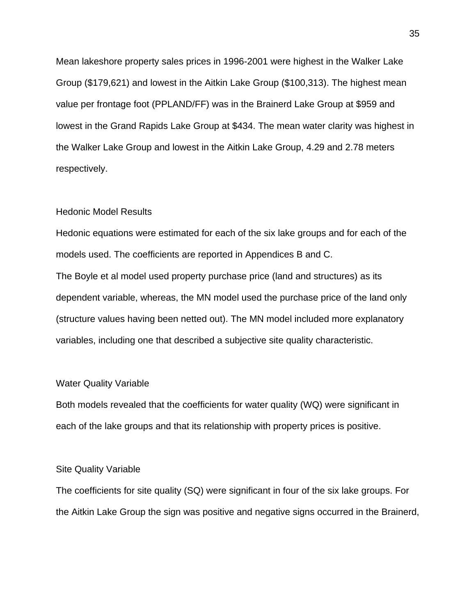Mean lakeshore property sales prices in 1996-2001 were highest in the Walker Lake Group (\$179,621) and lowest in the Aitkin Lake Group (\$100,313). The highest mean value per frontage foot (PPLAND/FF) was in the Brainerd Lake Group at \$959 and lowest in the Grand Rapids Lake Group at \$434. The mean water clarity was highest in the Walker Lake Group and lowest in the Aitkin Lake Group, 4.29 and 2.78 meters respectively.

#### Hedonic Model Results

Hedonic equations were estimated for each of the six lake groups and for each of the models used. The coefficients are reported in Appendices B and C. The Boyle et al model used property purchase price (land and structures) as its dependent variable, whereas, the MN model used the purchase price of the land only (structure values having been netted out). The MN model included more explanatory variables, including one that described a subjective site quality characteristic.

#### Water Quality Variable

Both models revealed that the coefficients for water quality (WQ) were significant in each of the lake groups and that its relationship with property prices is positive.

## Site Quality Variable

The coefficients for site quality (SQ) were significant in four of the six lake groups. For the Aitkin Lake Group the sign was positive and negative signs occurred in the Brainerd,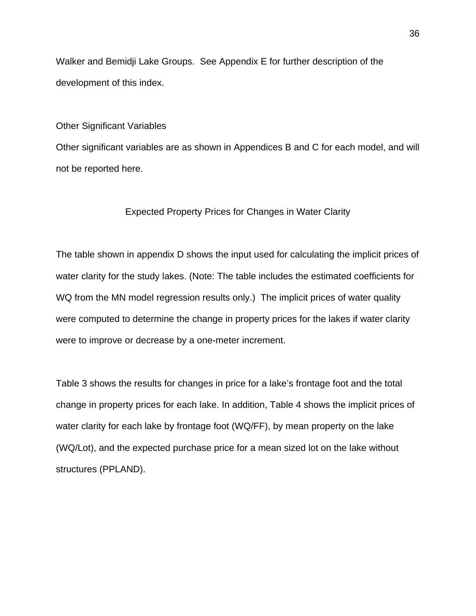Walker and Bemidji Lake Groups. See Appendix E for further description of the development of this index.

#### Other Significant Variables

Other significant variables are as shown in Appendices B and C for each model, and will not be reported here.

## Expected Property Prices for Changes in Water Clarity

The table shown in appendix D shows the input used for calculating the implicit prices of water clarity for the study lakes. (Note: The table includes the estimated coefficients for WQ from the MN model regression results only.) The implicit prices of water quality were computed to determine the change in property prices for the lakes if water clarity were to improve or decrease by a one-meter increment.

Table 3 shows the results for changes in price for a lake's frontage foot and the total change in property prices for each lake. In addition, Table 4 shows the implicit prices of water clarity for each lake by frontage foot (WQ/FF), by mean property on the lake (WQ/Lot), and the expected purchase price for a mean sized lot on the lake without structures (PPLAND).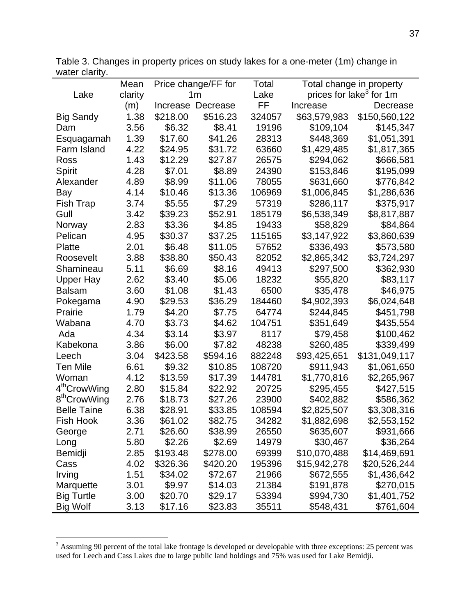|                          | Mean    | Price change/FF for |          | Total  | Total change in property            |               |  |
|--------------------------|---------|---------------------|----------|--------|-------------------------------------|---------------|--|
| Lake                     | clarity | 1 <sub>m</sub>      |          | Lake   | prices for lake <sup>3</sup> for 1m |               |  |
|                          | (m)     | Increase            | Decrease | FF     | Increase                            | Decrease      |  |
| <b>Big Sandy</b>         | 1.38    | \$218.00            | \$516.23 | 324057 | \$63,579,983                        | \$150,560,122 |  |
| Dam                      | 3.56    | \$6.32              | \$8.41   | 19196  | \$109,104                           | \$145,347     |  |
| Esquagamah               | 1.39    | \$17.60             | \$41.26  | 28313  | \$448,369                           | \$1,051,391   |  |
| Farm Island              | 4.22    | \$24.95             | \$31.72  | 63660  | \$1,429,485                         | \$1,817,365   |  |
| Ross                     | 1.43    | \$12.29             | \$27.87  | 26575  | \$294,062                           | \$666,581     |  |
| Spirit                   | 4.28    | \$7.01              | \$8.89   | 24390  | \$153,846                           | \$195,099     |  |
| Alexander                | 4.89    | \$8.99              | \$11.06  | 78055  | \$631,660                           | \$776,842     |  |
| Bay                      | 4.14    | \$10.46             | \$13.36  | 106969 | \$1,006,845                         | \$1,286,636   |  |
| <b>Fish Trap</b>         | 3.74    | \$5.55              | \$7.29   | 57319  | \$286,117                           | \$375,917     |  |
| Gull                     | 3.42    | \$39.23             | \$52.91  | 185179 | \$6,538,349                         | \$8,817,887   |  |
| Norway                   | 2.83    | \$3.36              | \$4.85   | 19433  | \$58,829                            | \$84,864      |  |
| Pelican                  | 4.95    | \$30.37             | \$37.25  | 115165 | \$3,147,922                         | \$3,860,639   |  |
| Platte                   | 2.01    | \$6.48              | \$11.05  | 57652  | \$336,493                           | \$573,580     |  |
| Roosevelt                | 3.88    | \$38.80             | \$50.43  | 82052  | \$2,865,342                         | \$3,724,297   |  |
| Shamineau                | 5.11    | \$6.69              | \$8.16   | 49413  | \$297,500                           | \$362,930     |  |
| <b>Upper Hay</b>         | 2.62    | \$3.40              | \$5.06   | 18232  | \$55,820                            | \$83,117      |  |
| <b>Balsam</b>            | 3.60    | \$1.08              | \$1.43   | 6500   | \$35,478                            | \$46,975      |  |
| Pokegama                 | 4.90    | \$29.53             | \$36.29  | 184460 | \$4,902,393                         | \$6,024,648   |  |
| Prairie                  | 1.79    | \$4.20              | \$7.75   | 64774  | \$244,845                           | \$451,798     |  |
| Wabana                   | 4.70    | \$3.73              | \$4.62   | 104751 | \$351,649                           | \$435,554     |  |
| Ada                      | 4.34    | \$3.14              | \$3.97   | 8117   | \$79,458                            | \$100,462     |  |
| Kabekona                 | 3.86    | \$6.00              | \$7.82   | 48238  | \$260,485                           | \$339,499     |  |
| Leech                    | 3.04    | \$423.58            | \$594.16 | 882248 | \$93,425,651                        | \$131,049,117 |  |
| <b>Ten Mile</b>          | 6.61    | \$9.32              | \$10.85  | 108720 | \$911,943                           | \$1,061,650   |  |
| Woman                    | 4.12    | \$13.59             | \$17.39  | 144781 | \$1,770,816                         | \$2,265,967   |  |
| 4 <sup>th</sup> CrowWing | 2.80    | \$15.84             | \$22.92  | 20725  | \$295,455                           | \$427,515     |  |
| 8 <sup>th</sup> CrowWing | 2.76    | \$18.73             | \$27.26  | 23900  | \$402,882                           | \$586,362     |  |
| <b>Belle Taine</b>       | 6.38    | \$28.91             | \$33.85  | 108594 | \$2,825,507                         | \$3,308,316   |  |
| Fish Hook                | 3.36    | \$61.02             | \$82.75  | 34282  | \$1,882,698                         | \$2,553,152   |  |
| George                   | 2.71    | \$26.60             | \$38.99  | 26550  | \$635,607                           | \$931,666     |  |
| Long                     | 5.80    | \$2.26              | \$2.69   | 14979  | \$30,467                            | \$36,264      |  |
| Bemidji                  | 2.85    | \$193.48            | \$278.00 | 69399  | \$10,070,488                        | \$14,469,691  |  |
| Cass                     | 4.02    | \$326.36            | \$420.20 | 195396 | \$15,942,278                        | \$20,526,244  |  |
| Irving                   | 1.51    | \$34.02             | \$72.67  | 21966  | \$672,555                           | \$1,436,642   |  |
| Marquette                | 3.01    | \$9.97              | \$14.03  | 21384  | \$191,878                           | \$270,015     |  |
| <b>Big Turtle</b>        | 3.00    | \$20.70             | \$29.17  | 53394  | \$994,730                           | \$1,401,752   |  |
| <b>Big Wolf</b>          | 3.13    | \$17.16             | \$23.83  | 35511  | \$548,431                           | \$761,604     |  |

Table 3. Changes in property prices on study lakes for a one-meter (1m) change in water clarity.

<sup>&</sup>lt;sup>3</sup> Assuming 90 percent of the total lake frontage is developed or developable with three exceptions: 25 percent was used for Leech and Cass Lakes due to large public land holdings and 75% was used for Lake Bemidji.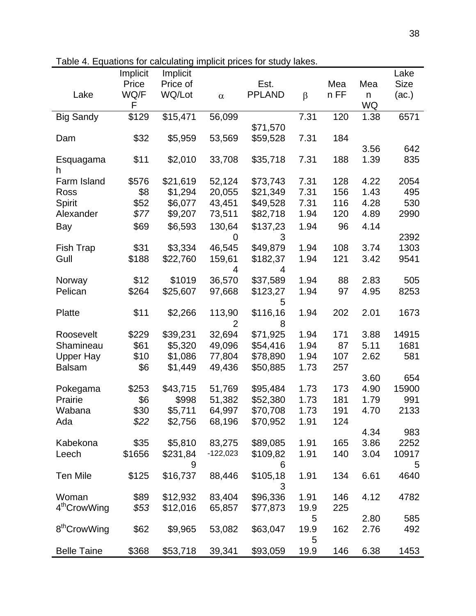|                          | Implicit | Implicit |                |               |         |      |      | Lake        |
|--------------------------|----------|----------|----------------|---------------|---------|------|------|-------------|
|                          | Price    | Price of |                | Est.          |         | Mea  | Mea  | <b>Size</b> |
| Lake                     | WQ/F     | WQ/Lot   | $\alpha$       | <b>PPLAND</b> | $\beta$ | n FF | n    | (ac.)       |
|                          | F        |          |                |               |         |      | WQ   |             |
| <b>Big Sandy</b>         | \$129    | \$15,471 | 56,099         |               | 7.31    | 120  | 1.38 | 6571        |
|                          |          |          |                | \$71,570      |         |      |      |             |
| Dam                      | \$32     | \$5,959  | 53,569         | \$59,528      | 7.31    | 184  |      |             |
|                          |          |          |                |               |         |      | 3.56 | 642         |
| Esquagama<br>h           | \$11     | \$2,010  | 33,708         | \$35,718      | 7.31    | 188  | 1.39 | 835         |
| Farm Island              | \$576    | \$21,619 | 52,124         | \$73,743      | 7.31    | 128  | 4.22 | 2054        |
| Ross                     | \$8      | \$1,294  | 20,055         | \$21,349      | 7.31    | 156  | 1.43 | 495         |
| Spirit                   | \$52     | \$6,077  | 43,451         | \$49,528      | 7.31    | 116  | 4.28 | 530         |
| Alexander                | \$77     | \$9,207  | 73,511         | \$82,718      | 1.94    | 120  | 4.89 | 2990        |
| Bay                      | \$69     | \$6,593  | 130,64         | \$137,23      | 1.94    | 96   | 4.14 |             |
|                          |          |          | 0              | 3             |         |      |      | 2392        |
| Fish Trap                | \$31     | \$3,334  | 46,545         | \$49,879      | 1.94    | 108  | 3.74 | 1303        |
| Gull                     | \$188    | \$22,760 | 159,61         | \$182,37      | 1.94    | 121  | 3.42 | 9541        |
|                          |          |          | 4              | 4             |         |      |      |             |
| Norway                   | \$12     | \$1019   | 36,570         | \$37,589      | 1.94    | 88   | 2.83 | 505         |
| Pelican                  | \$264    | \$25,607 | 97,668         | \$123,27      | 1.94    | 97   | 4.95 | 8253        |
|                          |          |          |                | 5             |         |      |      |             |
| Platte                   | \$11     | \$2,266  | 113,90         | \$116,16      | 1.94    | 202  | 2.01 | 1673        |
|                          |          |          | $\overline{2}$ | 8             |         |      |      |             |
| Roosevelt                | \$229    | \$39,231 | 32,694         | \$71,925      | 1.94    | 171  | 3.88 | 14915       |
| Shamineau                | \$61     | \$5,320  | 49,096         | \$54,416      | 1.94    | 87   | 5.11 | 1681        |
| <b>Upper Hay</b>         | \$10     | \$1,086  | 77,804         | \$78,890      | 1.94    | 107  | 2.62 | 581         |
| <b>Balsam</b>            | \$6      | \$1,449  | 49,436         | \$50,885      | 1.73    | 257  |      |             |
|                          |          |          |                |               |         |      | 3.60 | 654         |
| Pokegama                 | \$253    | \$43,715 | 51,769         | \$95,484      | 1.73    | 173  | 4.90 | 15900       |
| Prairie                  | \$6      | \$998    | 51,382         | \$52,380      | 1.73    | 181  | 1.79 | 991         |
| Wabana                   | \$30     | \$5,711  | 64,997         | \$70,708      | 1.73    | 191  | 4.70 | 2133        |
| Ada                      | \$22     | \$2,756  | 68,196         | \$70,952      | 1.91    | 124  |      |             |
|                          |          |          |                |               |         |      | 4.34 | 983         |
| Kabekona                 | \$35     | \$5,810  | 83,275         | \$89,085      | 1.91    | 165  | 3.86 | 2252        |
| Leech                    | \$1656   | \$231,84 | $-122,023$     | \$109,82      | 1.91    | 140  | 3.04 | 10917       |
|                          |          | 9        |                | 6             |         |      |      | 5           |
| <b>Ten Mile</b>          | \$125    | \$16,737 | 88,446         | \$105,18      | 1.91    | 134  | 6.61 | 4640        |
|                          |          |          |                | 3             |         |      |      |             |
| Woman                    | \$89     | \$12,932 | 83,404         | \$96,336      | 1.91    | 146  | 4.12 | 4782        |
| 4 <sup>th</sup> CrowWing | \$53     | \$12,016 | 65,857         | \$77,873      | 19.9    | 225  |      |             |
|                          |          |          |                |               | 5       |      | 2.80 | 585         |
| 8 <sup>th</sup> CrowWing | \$62     | \$9,965  | 53,082         | \$63,047      | 19.9    | 162  | 2.76 | 492         |
|                          |          |          |                |               | 5       |      |      |             |
| <b>Belle Taine</b>       | \$368    | \$53,718 | 39,341         | \$93,059      | 19.9    | 146  | 6.38 | 1453        |

Table 4. Equations for calculating implicit prices for study lakes.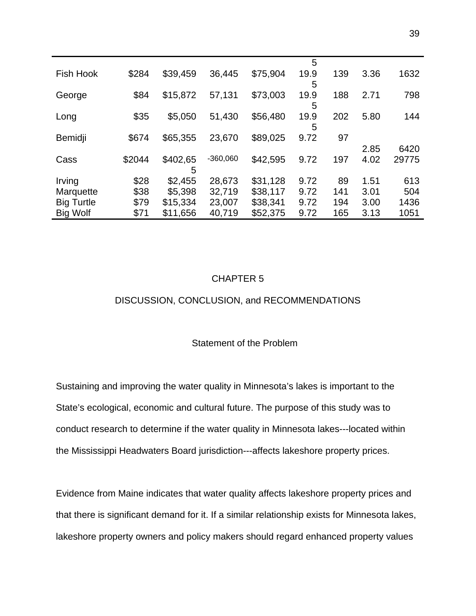|                   |        |          |            |          | 5         |     |      |       |
|-------------------|--------|----------|------------|----------|-----------|-----|------|-------|
| <b>Fish Hook</b>  | \$284  | \$39,459 | 36,445     | \$75,904 | 19.9<br>5 | 139 | 3.36 | 1632  |
| George            | \$84   | \$15,872 | 57,131     | \$73,003 | 19.9<br>5 | 188 | 2.71 | 798   |
| Long              | \$35   | \$5,050  | 51,430     | \$56,480 | 19.9<br>5 | 202 | 5.80 | 144   |
| Bemidji           | \$674  | \$65,355 | 23,670     | \$89,025 | 9.72      | 97  |      |       |
|                   |        |          |            |          |           |     | 2.85 | 6420  |
| Cass              | \$2044 | \$402,65 | $-360,060$ | \$42,595 | 9.72      | 197 | 4.02 | 29775 |
|                   |        | 5        |            |          |           |     |      |       |
| Irving            | \$28   | \$2,455  | 28,673     | \$31,128 | 9.72      | 89  | 1.51 | 613   |
| Marquette         | \$38   | \$5,398  | 32,719     | \$38,117 | 9.72      | 141 | 3.01 | 504   |
| <b>Big Turtle</b> | \$79   | \$15,334 | 23,007     | \$38,341 | 9.72      | 194 | 3.00 | 1436  |
| <b>Big Wolf</b>   | \$71   | \$11,656 | 40,719     | \$52,375 | 9.72      | 165 | 3.13 | 1051  |

# CHAPTER 5

# DISCUSSION, CONCLUSION, and RECOMMENDATIONS

# Statement of the Problem

Sustaining and improving the water quality in Minnesota's lakes is important to the State's ecological, economic and cultural future. The purpose of this study was to conduct research to determine if the water quality in Minnesota lakes---located within the Mississippi Headwaters Board jurisdiction---affects lakeshore property prices.

Evidence from Maine indicates that water quality affects lakeshore property prices and that there is significant demand for it. If a similar relationship exists for Minnesota lakes, lakeshore property owners and policy makers should regard enhanced property values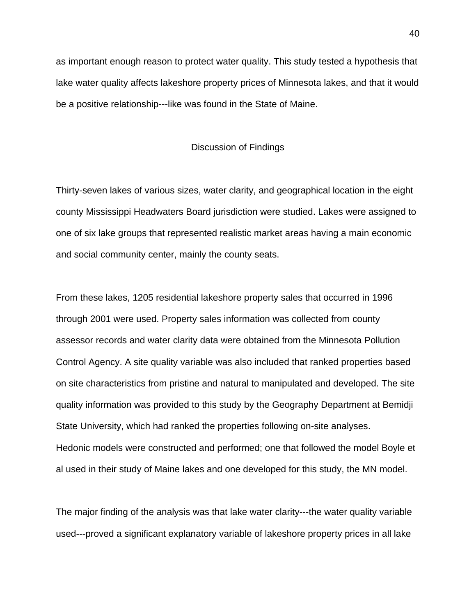as important enough reason to protect water quality. This study tested a hypothesis that lake water quality affects lakeshore property prices of Minnesota lakes, and that it would be a positive relationship---like was found in the State of Maine.

#### Discussion of Findings

Thirty-seven lakes of various sizes, water clarity, and geographical location in the eight county Mississippi Headwaters Board jurisdiction were studied. Lakes were assigned to one of six lake groups that represented realistic market areas having a main economic and social community center, mainly the county seats.

From these lakes, 1205 residential lakeshore property sales that occurred in 1996 through 2001 were used. Property sales information was collected from county assessor records and water clarity data were obtained from the Minnesota Pollution Control Agency. A site quality variable was also included that ranked properties based on site characteristics from pristine and natural to manipulated and developed. The site quality information was provided to this study by the Geography Department at Bemidji State University, which had ranked the properties following on-site analyses. Hedonic models were constructed and performed; one that followed the model Boyle et al used in their study of Maine lakes and one developed for this study, the MN model.

The major finding of the analysis was that lake water clarity---the water quality variable used---proved a significant explanatory variable of lakeshore property prices in all lake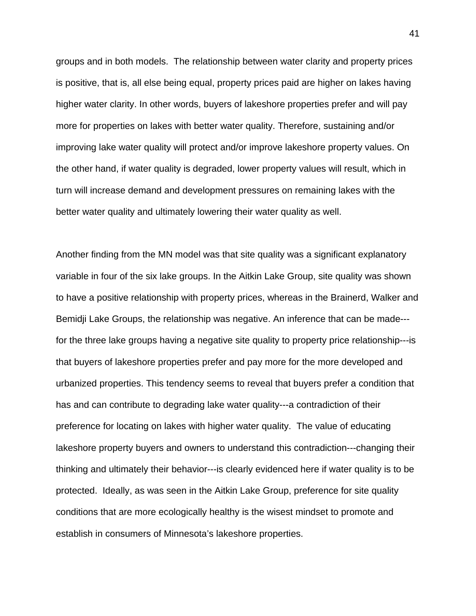groups and in both models. The relationship between water clarity and property prices is positive, that is, all else being equal, property prices paid are higher on lakes having higher water clarity. In other words, buyers of lakeshore properties prefer and will pay more for properties on lakes with better water quality. Therefore, sustaining and/or improving lake water quality will protect and/or improve lakeshore property values. On the other hand, if water quality is degraded, lower property values will result, which in turn will increase demand and development pressures on remaining lakes with the better water quality and ultimately lowering their water quality as well.

Another finding from the MN model was that site quality was a significant explanatory variable in four of the six lake groups. In the Aitkin Lake Group, site quality was shown to have a positive relationship with property prices, whereas in the Brainerd, Walker and Bemidji Lake Groups, the relationship was negative. An inference that can be made-- for the three lake groups having a negative site quality to property price relationship---is that buyers of lakeshore properties prefer and pay more for the more developed and urbanized properties. This tendency seems to reveal that buyers prefer a condition that has and can contribute to degrading lake water quality---a contradiction of their preference for locating on lakes with higher water quality. The value of educating lakeshore property buyers and owners to understand this contradiction---changing their thinking and ultimately their behavior---is clearly evidenced here if water quality is to be protected. Ideally, as was seen in the Aitkin Lake Group, preference for site quality conditions that are more ecologically healthy is the wisest mindset to promote and establish in consumers of Minnesota's lakeshore properties.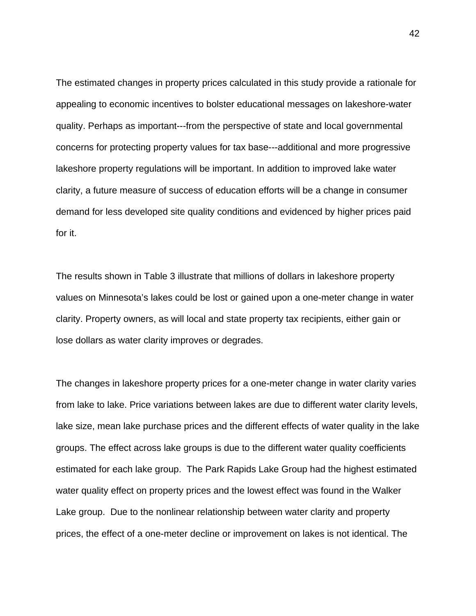The estimated changes in property prices calculated in this study provide a rationale for appealing to economic incentives to bolster educational messages on lakeshore-water quality. Perhaps as important---from the perspective of state and local governmental concerns for protecting property values for tax base---additional and more progressive lakeshore property regulations will be important. In addition to improved lake water clarity, a future measure of success of education efforts will be a change in consumer demand for less developed site quality conditions and evidenced by higher prices paid for it.

The results shown in Table 3 illustrate that millions of dollars in lakeshore property values on Minnesota's lakes could be lost or gained upon a one-meter change in water clarity. Property owners, as will local and state property tax recipients, either gain or lose dollars as water clarity improves or degrades.

The changes in lakeshore property prices for a one-meter change in water clarity varies from lake to lake. Price variations between lakes are due to different water clarity levels, lake size, mean lake purchase prices and the different effects of water quality in the lake groups. The effect across lake groups is due to the different water quality coefficients estimated for each lake group. The Park Rapids Lake Group had the highest estimated water quality effect on property prices and the lowest effect was found in the Walker Lake group. Due to the nonlinear relationship between water clarity and property prices, the effect of a one-meter decline or improvement on lakes is not identical. The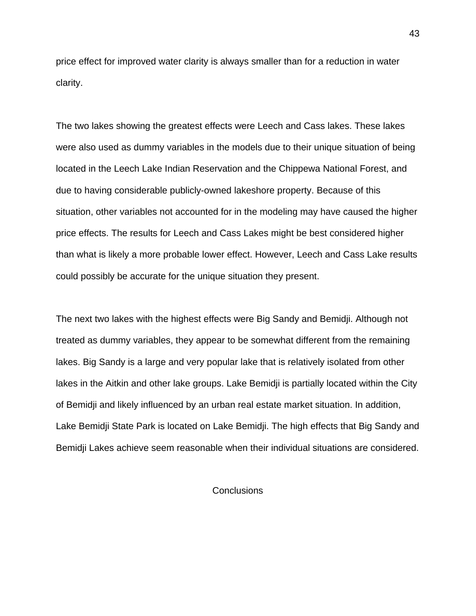price effect for improved water clarity is always smaller than for a reduction in water clarity.

The two lakes showing the greatest effects were Leech and Cass lakes. These lakes were also used as dummy variables in the models due to their unique situation of being located in the Leech Lake Indian Reservation and the Chippewa National Forest, and due to having considerable publicly-owned lakeshore property. Because of this situation, other variables not accounted for in the modeling may have caused the higher price effects. The results for Leech and Cass Lakes might be best considered higher than what is likely a more probable lower effect. However, Leech and Cass Lake results could possibly be accurate for the unique situation they present.

The next two lakes with the highest effects were Big Sandy and Bemidji. Although not treated as dummy variables, they appear to be somewhat different from the remaining lakes. Big Sandy is a large and very popular lake that is relatively isolated from other lakes in the Aitkin and other lake groups. Lake Bemidji is partially located within the City of Bemidji and likely influenced by an urban real estate market situation. In addition, Lake Bemidji State Park is located on Lake Bemidji. The high effects that Big Sandy and Bemidji Lakes achieve seem reasonable when their individual situations are considered.

## **Conclusions**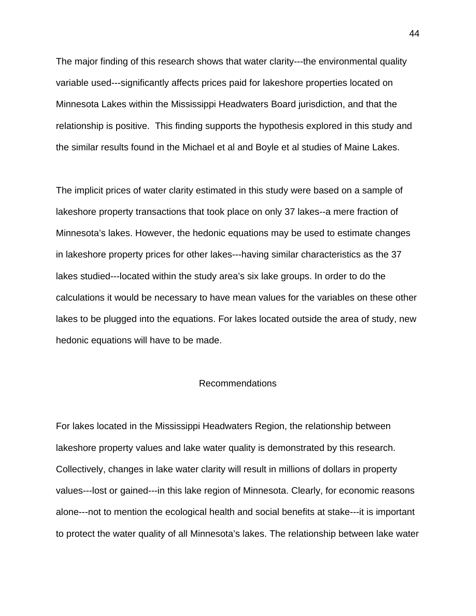The major finding of this research shows that water clarity---the environmental quality variable used---significantly affects prices paid for lakeshore properties located on Minnesota Lakes within the Mississippi Headwaters Board jurisdiction, and that the relationship is positive. This finding supports the hypothesis explored in this study and the similar results found in the Michael et al and Boyle et al studies of Maine Lakes.

The implicit prices of water clarity estimated in this study were based on a sample of lakeshore property transactions that took place on only 37 lakes--a mere fraction of Minnesota's lakes. However, the hedonic equations may be used to estimate changes in lakeshore property prices for other lakes---having similar characteristics as the 37 lakes studied---located within the study area's six lake groups. In order to do the calculations it would be necessary to have mean values for the variables on these other lakes to be plugged into the equations. For lakes located outside the area of study, new hedonic equations will have to be made.

## Recommendations

For lakes located in the Mississippi Headwaters Region, the relationship between lakeshore property values and lake water quality is demonstrated by this research. Collectively, changes in lake water clarity will result in millions of dollars in property values---lost or gained---in this lake region of Minnesota. Clearly, for economic reasons alone---not to mention the ecological health and social benefits at stake---it is important to protect the water quality of all Minnesota's lakes. The relationship between lake water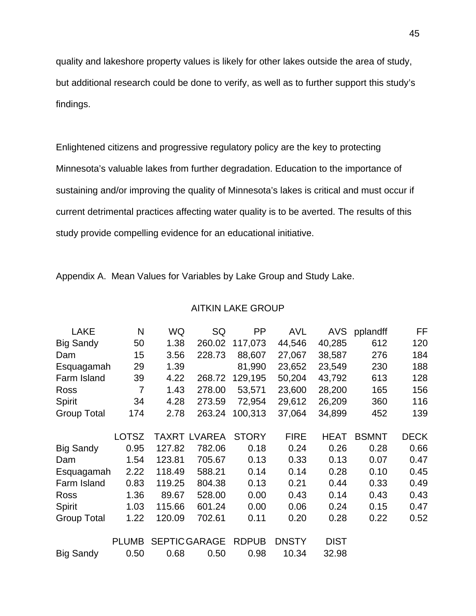quality and lakeshore property values is likely for other lakes outside the area of study, but additional research could be done to verify, as well as to further support this study's findings.

Enlightened citizens and progressive regulatory policy are the key to protecting Minnesota's valuable lakes from further degradation. Education to the importance of sustaining and/or improving the quality of Minnesota's lakes is critical and must occur if current detrimental practices affecting water quality is to be averted. The results of this study provide compelling evidence for an educational initiative.

Appendix A. Mean Values for Variables by Lake Group and Study Lake.

# AITKIN LAKE GROUP

| LAKE               | N              | <b>WQ</b> | SQ                   | PP           | <b>AVL</b>   | <b>AVS</b>  | pplandff     | FF          |
|--------------------|----------------|-----------|----------------------|--------------|--------------|-------------|--------------|-------------|
| <b>Big Sandy</b>   | 50             | 1.38      | 260.02               | 117,073      | 44,546       | 40,285      | 612          | 120         |
|                    |                |           |                      |              |              |             |              |             |
| Dam                | 15             | 3.56      | 228.73               | 88,607       | 27,067       | 38,587      | 276          | 184         |
| Esquagamah         | 29             | 1.39      |                      | 81,990       | 23,652       | 23,549      | 230          | 188         |
| Farm Island        | 39             | 4.22      | 268.72               | 129,195      | 50,204       | 43,792      | 613          | 128         |
| Ross               | $\overline{7}$ | 1.43      | 278.00               | 53,571       | 23,600       | 28,200      | 165          | 156         |
| Spirit             | 34             | 4.28      | 273.59               | 72,954       | 29,612       | 26,209      | 360          | 116         |
| Group Total        | 174            | 2.78      | 263.24               | 100,313      | 37,064       | 34,899      | 452          | 139         |
|                    | <b>LOTSZ</b>   |           | <b>TAXRT LVAREA</b>  | <b>STORY</b> | <b>FIRE</b>  | <b>HEAT</b> | <b>BSMNT</b> | <b>DECK</b> |
|                    |                |           |                      |              |              |             |              |             |
| <b>Big Sandy</b>   | 0.95           | 127.82    | 782.06               | 0.18         | 0.24         | 0.26        | 0.28         | 0.66        |
| Dam                | 1.54           | 123.81    | 705.67               | 0.13         | 0.33         | 0.13        | 0.07         | 0.47        |
| Esquagamah         | 2.22           | 118.49    | 588.21               | 0.14         | 0.14         | 0.28        | 0.10         | 0.45        |
| Farm Island        | 0.83           | 119.25    | 804.38               | 0.13         | 0.21         | 0.44        | 0.33         | 0.49        |
| Ross               | 1.36           | 89.67     | 528.00               | 0.00         | 0.43         | 0.14        | 0.43         | 0.43        |
| Spirit             | 1.03           | 115.66    | 601.24               | 0.00         | 0.06         | 0.24        | 0.15         | 0.47        |
| <b>Group Total</b> | 1.22           | 120.09    | 702.61               | 0.11         | 0.20         | 0.28        | 0.22         | 0.52        |
|                    | <b>PLUMB</b>   |           | <b>SEPTIC GARAGE</b> | <b>RDPUB</b> | <b>DNSTY</b> | <b>DIST</b> |              |             |
| <b>Big Sandy</b>   | 0.50           | 0.68      | 0.50                 | 0.98         | 10.34        | 32.98       |              |             |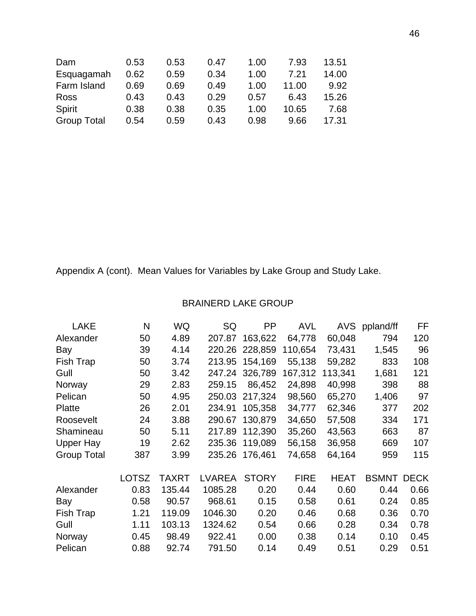| Dam                | 0.53 | 0.53 | 0.47 | 1.00 | 7.93  | 13.51 |
|--------------------|------|------|------|------|-------|-------|
| Esquagamah         | 0.62 | 0.59 | 0.34 | 1.00 | 7.21  | 14.00 |
| Farm Island        | 0.69 | 0.69 | 0.49 | 1.00 | 11.00 | 9.92  |
| <b>Ross</b>        | 0.43 | 0.43 | 0.29 | 0.57 | 6.43  | 15.26 |
| Spirit             | 0.38 | 0.38 | 0.35 | 1.00 | 10.65 | 7.68  |
| <b>Group Total</b> | 0.54 | 0.59 | 0.43 | 0.98 | 9.66  | 17.31 |
|                    |      |      |      |      |       |       |

# BRAINERD LAKE GROUP

| <b>LAKE</b>        | N            | <b>WQ</b>    | SQ            | PP           | <b>AVL</b>  | AVS         | ppland/ff    | FF          |
|--------------------|--------------|--------------|---------------|--------------|-------------|-------------|--------------|-------------|
| Alexander          | 50           | 4.89         | 207.87        | 163,622      | 64,778      | 60,048      | 794          | 120         |
| Bay                | 39           | 4.14         | 220.26        | 228,859      | 110,654     | 73,431      | 1,545        | 96          |
| Fish Trap          | 50           | 3.74         | 213.95        | 154,169      | 55,138      | 59,282      | 833          | 108         |
| Gull               | 50           | 3.42         | 247.24        | 326,789      | 167,312     | 113,341     | 1,681        | 121         |
| Norway             | 29           | 2.83         | 259.15        | 86,452       | 24,898      | 40,998      | 398          | 88          |
| Pelican            | 50           | 4.95         | 250.03        | 217,324      | 98,560      | 65,270      | 1,406        | 97          |
| <b>Platte</b>      | 26           | 2.01         | 234.91        | 105,358      | 34,777      | 62,346      | 377          | 202         |
| Roosevelt          | 24           | 3.88         | 290.67        | 130,879      | 34,650      | 57,508      | 334          | 171         |
| Shamineau          | 50           | 5.11         | 217.89        | 112,390      | 35,260      | 43,563      | 663          | 87          |
| <b>Upper Hay</b>   | 19           | 2.62         | 235.36        | 119,089      | 56,158      | 36,958      | 669          | 107         |
| <b>Group Total</b> | 387          | 3.99         | 235.26        | 176,461      | 74,658      | 64,164      | 959          | 115         |
|                    | <b>LOTSZ</b> | <b>TAXRT</b> | <b>LVAREA</b> | <b>STORY</b> | <b>FIRE</b> | <b>HEAT</b> | <b>BSMNT</b> | <b>DECK</b> |
| Alexander          | 0.83         | 135.44       | 1085.28       | 0.20         | 0.44        | 0.60        | 0.44         | 0.66        |
| Bay                | 0.58         | 90.57        | 968.61        | 0.15         | 0.58        | 0.61        | 0.24         | 0.85        |
| Fish Trap          | 1.21         | 119.09       | 1046.30       | 0.20         | 0.46        | 0.68        | 0.36         | 0.70        |
| Gull               | 1.11         | 103.13       | 1324.62       | 0.54         | 0.66        | 0.28        | 0.34         | 0.78        |
| Norway             | 0.45         | 98.49        | 922.41        | 0.00         | 0.38        | 0.14        | 0.10         | 0.45        |
| Pelican            | 0.88         | 92.74        | 791.50        | 0.14         | 0.49        | 0.51        | 0.29         | 0.51        |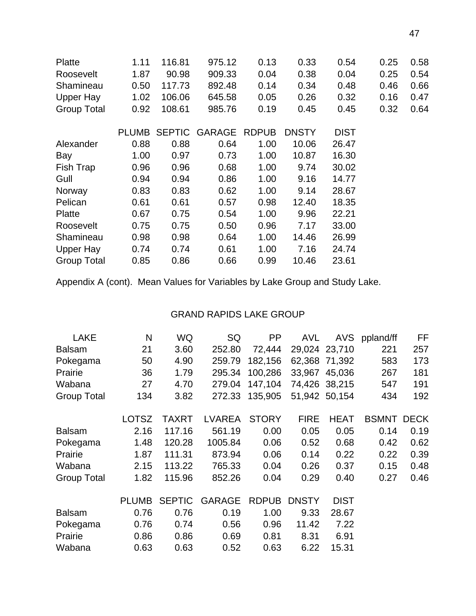| Platte             | 1.11         | 116.81 | 975.12        | 0.13         | 0.33         | 0.54        | 0.25 | 0.58 |
|--------------------|--------------|--------|---------------|--------------|--------------|-------------|------|------|
| Roosevelt          | 1.87         | 90.98  | 909.33        | 0.04         | 0.38         | 0.04        | 0.25 | 0.54 |
| Shamineau          | 0.50         | 117.73 | 892.48        | 0.14         | 0.34         | 0.48        | 0.46 | 0.66 |
| Upper Hay          | 1.02         | 106.06 | 645.58        | 0.05         | 0.26         | 0.32        | 0.16 | 0.47 |
| <b>Group Total</b> | 0.92         | 108.61 | 985.76        | 0.19         | 0.45         | 0.45        | 0.32 | 0.64 |
|                    | <b>PLUMB</b> |        | SEPTIC GARAGE | <b>RDPUB</b> | <b>DNSTY</b> | <b>DIST</b> |      |      |
| Alexander          | 0.88         | 0.88   | 0.64          | 1.00         | 10.06        | 26.47       |      |      |
| Bay                | 1.00         | 0.97   | 0.73          | 1.00         | 10.87        | 16.30       |      |      |
| Fish Trap          | 0.96         | 0.96   | 0.68          | 1.00         | 9.74         | 30.02       |      |      |
| Gull               | 0.94         | 0.94   | 0.86          | 1.00         | 9.16         | 14.77       |      |      |
| Norway             | 0.83         | 0.83   | 0.62          | 1.00         | 9.14         | 28.67       |      |      |
| Pelican            | 0.61         | 0.61   | 0.57          | 0.98         | 12.40        | 18.35       |      |      |
| <b>Platte</b>      | 0.67         | 0.75   | 0.54          | 1.00         | 9.96         | 22.21       |      |      |
| Roosevelt          | 0.75         | 0.75   | 0.50          | 0.96         | 7.17         | 33.00       |      |      |
| Shamineau          | 0.98         | 0.98   | 0.64          | 1.00         | 14.46        | 26.99       |      |      |
| Upper Hay          | 0.74         | 0.74   | 0.61          | 1.00         | 7.16         | 24.74       |      |      |
| <b>Group Total</b> | 0.85         | 0.86   | 0.66          | 0.99         | 10.46        | 23.61       |      |      |

# GRAND RAPIDS LAKE GROUP

| <b>LAKE</b>        | N            | WQ            | SQ            | <b>PP</b>    | <b>AVL</b>   | <b>AVS</b>    | ppland/ff    | FF          |
|--------------------|--------------|---------------|---------------|--------------|--------------|---------------|--------------|-------------|
| <b>Balsam</b>      | 21           | 3.60          | 252.80        | 72,444       |              | 29,024 23,710 | 221          | 257         |
| Pokegama           | 50           | 4.90          | 259.79        | 182,156      |              | 62,368 71,392 | 583          | 173         |
| Prairie            | 36           | 1.79          | 295.34        | 100,286      |              | 33,967 45,036 | 267          | 181         |
| Wabana             | 27           | 4.70          | 279.04        | 147,104      |              | 74,426 38,215 | 547          | 191         |
| <b>Group Total</b> | 134          | 3.82          | 272.33        | 135,905      |              | 51,942 50,154 | 434          | 192         |
|                    | <b>LOTSZ</b> | <b>TAXRT</b>  | <b>LVAREA</b> | <b>STORY</b> | <b>FIRE</b>  | <b>HEAT</b>   | <b>BSMNT</b> | <b>DECK</b> |
| <b>Balsam</b>      | 2.16         | 117.16        | 561.19        | 0.00         | 0.05         | 0.05          | 0.14         | 0.19        |
| Pokegama           | 1.48         | 120.28        | 1005.84       | 0.06         | 0.52         | 0.68          | 0.42         | 0.62        |
| Prairie            | 1.87         | 111.31        | 873.94        | 0.06         | 0.14         | 0.22          | 0.22         | 0.39        |
| Wabana             | 2.15         | 113.22        | 765.33        | 0.04         | 0.26         | 0.37          | 0.15         | 0.48        |
| <b>Group Total</b> | 1.82         | 115.96        | 852.26        | 0.04         | 0.29         | 0.40          | 0.27         | 0.46        |
|                    | <b>PLUMB</b> | <b>SEPTIC</b> | <b>GARAGE</b> | <b>RDPUB</b> | <b>DNSTY</b> | <b>DIST</b>   |              |             |
| <b>Balsam</b>      | 0.76         | 0.76          | 0.19          | 1.00         | 9.33         | 28.67         |              |             |
| Pokegama           | 0.76         | 0.74          | 0.56          | 0.96         | 11.42        | 7.22          |              |             |
| Prairie            | 0.86         | 0.86          | 0.69          | 0.81         | 8.31         | 6.91          |              |             |
| Wabana             | 0.63         | 0.63          | 0.52          | 0.63         | 6.22         | 15.31         |              |             |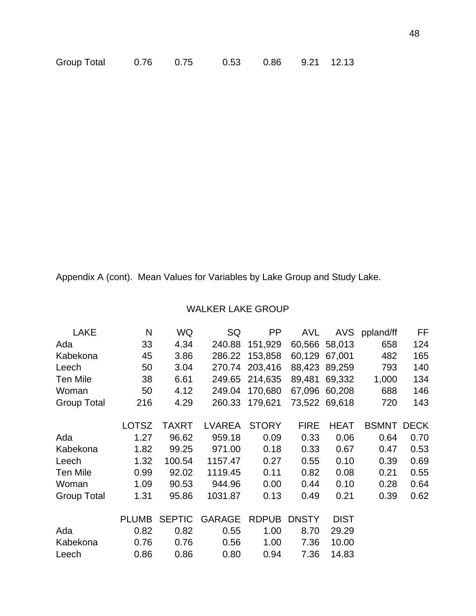| Group Total | 0.76 | 0.75 | 0.53 0.86 9.21 12.13 |  |
|-------------|------|------|----------------------|--|
|             |      |      |                      |  |

# WALKER LAKE GROUP

| <b>LAKE</b>        | N            | WQ            | SQ            | PP           | <b>AVL</b>   | <b>AVS</b>    | ppland/ff         | FF   |
|--------------------|--------------|---------------|---------------|--------------|--------------|---------------|-------------------|------|
| Ada                | 33           | 4.34          | 240.88        | 151,929      |              | 60,566 58,013 | 658               | 124  |
| Kabekona           | 45           | 3.86          | 286.22        | 153,858      | 60,129       | 67,001        | 482               | 165  |
| Leech              | 50           | 3.04          | 270.74        | 203,416      | 88,423       | 89,259        | 793               | 140  |
| <b>Ten Mile</b>    | 38           | 6.61          | 249.65        | 214,635      | 89,481       | 69,332        | 1,000             | 134  |
| Woman              | 50           | 4.12          | 249.04        | 170,680      | 67,096       | 60,208        | 688               | 146  |
| <b>Group Total</b> | 216          | 4.29          | 260.33        | 179,621      |              | 73,522 69,618 | 720               | 143  |
|                    | <b>LOTSZ</b> | <b>TAXRT</b>  | LVAREA        | <b>STORY</b> | <b>FIRE</b>  | <b>HEAT</b>   | <b>BSMNT DECK</b> |      |
| Ada                | 1.27         | 96.62         | 959.18        | 0.09         | 0.33         | 0.06          | 0.64              | 0.70 |
| Kabekona           | 1.82         | 99.25         | 971.00        | 0.18         | 0.33         | 0.67          | 0.47              | 0.53 |
| Leech              | 1.32         | 100.54        | 1157.47       | 0.27         | 0.55         | 0.10          | 0.39              | 0.69 |
| Ten Mile           | 0.99         | 92.02         | 1119.45       | 0.11         | 0.82         | 0.08          | 0.21              | 0.55 |
| Woman              | 1.09         | 90.53         | 944.96        | 0.00         | 0.44         | 0.10          | 0.28              | 0.64 |
| <b>Group Total</b> | 1.31         | 95.86         | 1031.87       | 0.13         | 0.49         | 0.21          | 0.39              | 0.62 |
|                    | <b>PLUMB</b> | <b>SEPTIC</b> | <b>GARAGE</b> | <b>RDPUB</b> | <b>DNSTY</b> | <b>DIST</b>   |                   |      |
| Ada                | 0.82         | 0.82          | 0.55          | 1.00         | 8.70         | 29.29         |                   |      |
| Kabekona           | 0.76         | 0.76          | 0.56          | 1.00         | 7.36         | 10.00         |                   |      |
| Leech              | 0.86         | 0.86          | 0.80          | 0.94         | 7.36         | 14.83         |                   |      |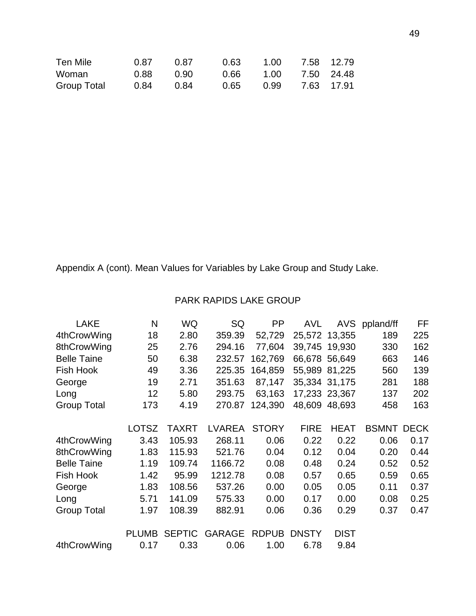| Ten Mile           | 0.87 | 0.87 | 0.63 |      | 1.00 7.58 12.79 |            |
|--------------------|------|------|------|------|-----------------|------------|
| Woman              | 0.88 | 0.90 | 0.66 |      | 1.00 7.50 24.48 |            |
| <b>Group Total</b> | 0.84 | 0.84 | 0.65 | 0.99 |                 | 7.63 17.91 |

# PARK RAPIDS LAKE GROUP

| <b>LAKE</b>        | N            | WQ            | SQ            | <b>PP</b>    | AVL          |               | AVS ppland/ff | FF          |
|--------------------|--------------|---------------|---------------|--------------|--------------|---------------|---------------|-------------|
| 4thCrowWing        | 18           | 2.80          | 359.39        | 52,729       |              | 25,572 13,355 | 189           | 225         |
| 8thCrowWing        | 25           | 2.76          | 294.16        | 77,604       |              | 39,745 19,930 | 330           | 162         |
| <b>Belle Taine</b> | 50           | 6.38          | 232.57        | 162,769      |              | 66,678 56,649 | 663           | 146         |
| Fish Hook          | 49           | 3.36          | 225.35        | 164,859      |              | 55,989 81,225 | 560           | 139         |
| George             | 19           | 2.71          | 351.63        | 87,147       |              | 35,334 31,175 | 281           | 188         |
| Long               | 12           | 5.80          | 293.75        | 63,163       |              | 17,233 23,367 | 137           | 202         |
| <b>Group Total</b> | 173          | 4.19          | 270.87        | 124,390      |              | 48,609 48,693 | 458           | 163         |
|                    | <b>LOTSZ</b> | <b>TAXRT</b>  | <b>LVAREA</b> | <b>STORY</b> | <b>FIRE</b>  | <b>HEAT</b>   | <b>BSMNT</b>  | <b>DECK</b> |
| 4thCrowWing        | 3.43         | 105.93        | 268.11        | 0.06         | 0.22         | 0.22          | 0.06          | 0.17        |
| 8thCrowWing        | 1.83         | 115.93        | 521.76        | 0.04         | 0.12         | 0.04          | 0.20          | 0.44        |
| <b>Belle Taine</b> | 1.19         | 109.74        | 1166.72       | 0.08         | 0.48         | 0.24          | 0.52          | 0.52        |
| Fish Hook          | 1.42         | 95.99         | 1212.78       | 0.08         | 0.57         | 0.65          | 0.59          | 0.65        |
| George             | 1.83         | 108.56        | 537.26        | 0.00         | 0.05         | 0.05          | 0.11          | 0.37        |
| Long               | 5.71         | 141.09        | 575.33        | 0.00         | 0.17         | 0.00          | 0.08          | 0.25        |
| <b>Group Total</b> | 1.97         | 108.39        | 882.91        | 0.06         | 0.36         | 0.29          | 0.37          | 0.47        |
|                    | <b>PLUMB</b> | <b>SEPTIC</b> | <b>GARAGE</b> | <b>RDPUB</b> | <b>DNSTY</b> | <b>DIST</b>   |               |             |
| 4thCrowWing        | 0.17         | 0.33          | 0.06          | 1.00         | 6.78         | 9.84          |               |             |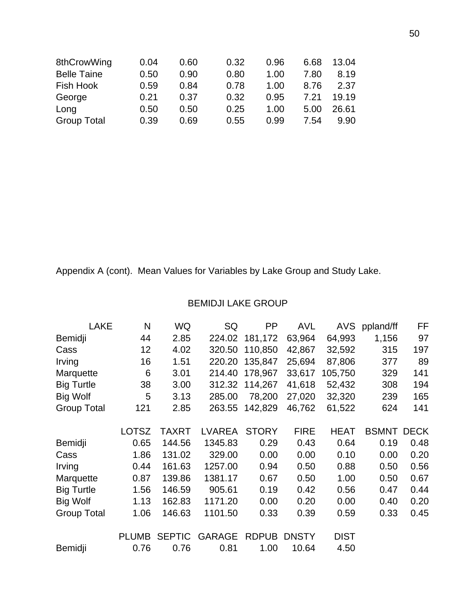|      |                              |                                              |                                              |                              | 13.04                                        |
|------|------------------------------|----------------------------------------------|----------------------------------------------|------------------------------|----------------------------------------------|
| 0.50 |                              |                                              |                                              |                              | 8.19                                         |
|      |                              |                                              | 1.00                                         |                              | 2.37                                         |
|      |                              |                                              |                                              |                              | 19.19                                        |
| 0.50 |                              |                                              | 1.00                                         |                              | 26.61                                        |
|      |                              |                                              |                                              |                              | 9.90                                         |
|      | 0.04<br>0.59<br>0.21<br>0.39 | 0.60<br>0.90<br>0.84<br>0.37<br>0.50<br>0.69 | 0.32<br>0.80<br>0.78<br>0.32<br>0.25<br>0.55 | 0.96<br>1.00<br>0.95<br>0.99 | 6.68<br>7.80<br>8.76<br>7.21<br>5.00<br>7.54 |

# BEMIDJI LAKE GROUP

| LAKE               | N            | WQ            | SQ            | PP           | <b>AVL</b>   |             | AVS ppland/ff | FF          |
|--------------------|--------------|---------------|---------------|--------------|--------------|-------------|---------------|-------------|
| Bemidji            | 44           | 2.85          | 224.02        | 181,172      | 63,964       | 64,993      | 1,156         | 97          |
| Cass               | 12           | 4.02          | 320.50        | 110,850      | 42,867       | 32,592      | 315           | 197         |
| Irving             | 16           | 1.51          | 220.20        | 135,847      | 25,694       | 87,806      | 377           | 89          |
| Marquette          | 6            | 3.01          | 214.40        | 178,967      | 33,617       | 105,750     | 329           | 141         |
| <b>Big Turtle</b>  | 38           | 3.00          | 312.32        | 114,267      | 41,618       | 52,432      | 308           | 194         |
| <b>Big Wolf</b>    | 5            | 3.13          | 285.00        | 78,200       | 27,020       | 32,320      | 239           | 165         |
| <b>Group Total</b> | 121          | 2.85          | 263.55        | 142,829      | 46,762       | 61,522      | 624           | 141         |
|                    |              |               |               |              |              |             |               |             |
|                    | <b>LOTSZ</b> | <b>TAXRT</b>  | <b>LVAREA</b> | <b>STORY</b> | <b>FIRE</b>  | <b>HEAT</b> | <b>BSMNT</b>  | <b>DECK</b> |
| Bemidji            | 0.65         | 144.56        | 1345.83       | 0.29         | 0.43         | 0.64        | 0.19          | 0.48        |
| Cass               | 1.86         | 131.02        | 329.00        | 0.00         | 0.00         | 0.10        | 0.00          | 0.20        |
| Irving             | 0.44         | 161.63        | 1257.00       | 0.94         | 0.50         | 0.88        | 0.50          | 0.56        |
| Marquette          | 0.87         | 139.86        | 1381.17       | 0.67         | 0.50         | 1.00        | 0.50          | 0.67        |
| <b>Big Turtle</b>  | 1.56         | 146.59        | 905.61        | 0.19         | 0.42         | 0.56        | 0.47          | 0.44        |
| <b>Big Wolf</b>    | 1.13         | 162.83        | 1171.20       | 0.00         | 0.20         | 0.00        | 0.40          | 0.20        |
| <b>Group Total</b> | 1.06         | 146.63        | 1101.50       | 0.33         | 0.39         | 0.59        | 0.33          | 0.45        |
|                    | <b>PLUMB</b> | <b>SEPTIC</b> | <b>GARAGE</b> | <b>RDPUB</b> | <b>DNSTY</b> | <b>DIST</b> |               |             |
| Bemidji            | 0.76         | 0.76          | 0.81          | 1.00         | 10.64        | 4.50        |               |             |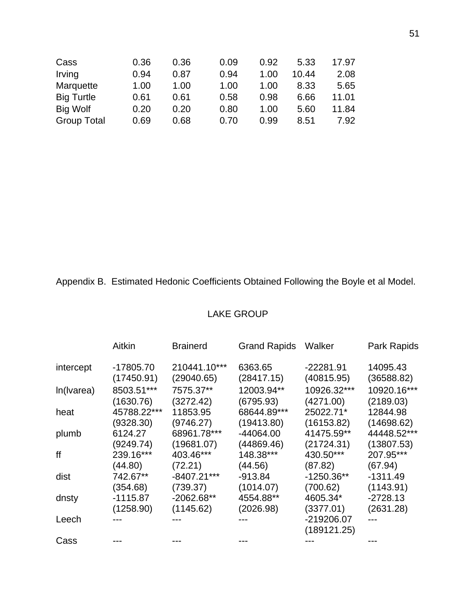| 0.36 | 0.36 | 0.09 | 0.92 | 5.33  | 17.97 |
|------|------|------|------|-------|-------|
| 0.94 | 0.87 | 0.94 | 1.00 | 10.44 | 2.08  |
| 1.00 | 1.00 | 1.00 | 1.00 | 8.33  | 5.65  |
| 0.61 | 0.61 | 0.58 | 0.98 | 6.66  | 11.01 |
| 0.20 | 0.20 | 0.80 | 1.00 | 5.60  | 11.84 |
| 0.69 | 0.68 | 0.70 | 0.99 | 8.51  | 7.92  |
|      |      |      |      |       |       |

Appendix B. Estimated Hedonic Coefficients Obtained Following the Boyle et al Model.

# LAKE GROUP

|            | Aitkin      | <b>Brainerd</b> | <b>Grand Rapids</b> | Walker                    | Park Rapids |
|------------|-------------|-----------------|---------------------|---------------------------|-------------|
| intercept  | -17805.70   | 210441.10***    | 6363.65             | $-22281.91$               | 14095.43    |
|            | (17450.91)  | (29040.65)      | (28417.15)          | (40815.95)                | (36588.82)  |
| In(Ivarea) | 8503.51***  | 7575.37**       | 12003.94**          | 10926.32***               | 10920.16*** |
|            | (1630.76)   | (3272.42)       | (6795.93)           | (4271.00)                 | (2189.03)   |
| heat       | 45788.22*** | 11853.95        | 68644.89***         | 25022.71*                 | 12844.98    |
|            | (9328.30)   | (9746.27)       | (19413.80)          | (16153.82)                | (14698.62)  |
| plumb      | 6124.27     | 68961.78***     | -44064.00           | 41475.59**                | 44448.52*** |
|            | (9249.74)   | (19681.07)      | (44869.46)          | (21724.31)                | (13807.53)  |
| ff         | 239.16***   | 403.46***       | 148.38***           | 430.50***                 | 207.95***   |
|            | (44.80)     | (72.21)         | (44.56)             | (87.82)                   | (67.94)     |
| dist       | 742.67**    | $-8407.21***$   | $-913.84$           | $-1250.36**$              | $-1311.49$  |
|            | (354.68)    | (739.37)        | (1014.07)           | (700.62)                  | (1143.91)   |
| dnsty      | $-1115.87$  | $-2062.68**$    | 4554.88**           | 4605.34*                  | $-2728.13$  |
|            | (1258.90)   | (1145.62)       | (2026.98)           | (3377.01)                 | (2631.28)   |
| Leech      |             |                 |                     | -219206.07<br>(189121.25) |             |
| Cass       |             |                 |                     |                           |             |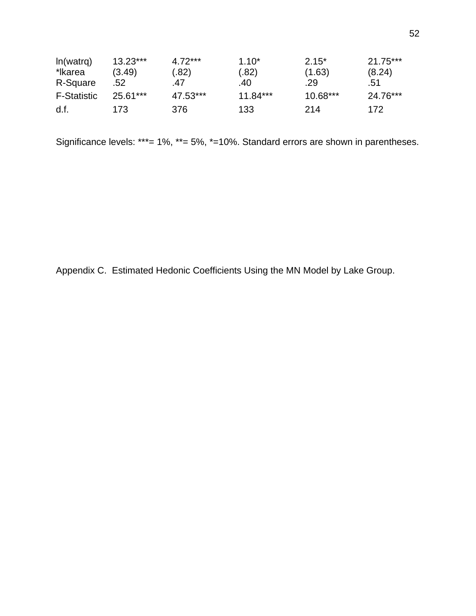| ln(watrq)          | $13.23***$ | $4.72***$ | $1.10*$    | $2.15*$    | $21.75***$ |
|--------------------|------------|-----------|------------|------------|------------|
| *lkarea            | (3.49)     | (.82)     | (.82)      | (1.63)     | (8.24)     |
| R-Square           | .52        | .47       | .40        | .29        | .51        |
| <b>F-Statistic</b> | $25.61***$ | 47.53***  | $11.84***$ | $10.68***$ | 24.76***   |
| d.f.               | 173        | 376       | 133        | 214        | 172        |

Significance levels: \*\*\*= 1%, \*\*= 5%, \*=10%. Standard errors are shown in parentheses.

Appendix C. Estimated Hedonic Coefficients Using the MN Model by Lake Group.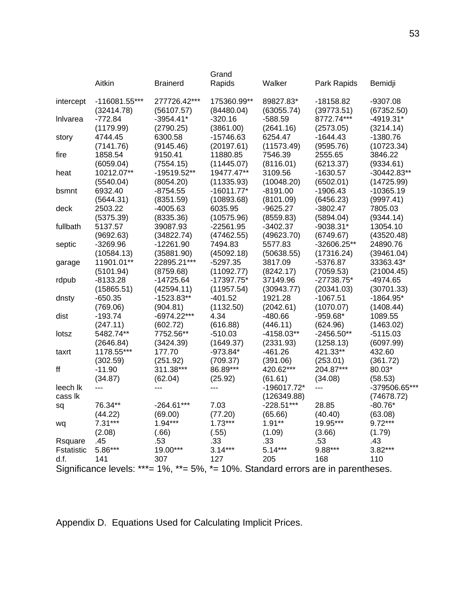|            | Aitkin                                                                            | <b>Brainerd</b> | Grand<br>Rapids | Walker       | Park Rapids  | Bemidji       |
|------------|-----------------------------------------------------------------------------------|-----------------|-----------------|--------------|--------------|---------------|
|            |                                                                                   |                 |                 |              |              |               |
| intercept  | $-116081.55***$                                                                   | 277726.42***    | 175360.99**     | 89827.83*    | -18158.82    | -9307.08      |
|            | (32414.78)                                                                        | (56107.57)      | (84480.04)      | (63055.74)   | (39773.51)   | (67352.50)    |
| Inlvarea   | $-772.84$                                                                         | $-3954.41*$     | $-320.16$       | $-588.59$    | 8772.74***   | $-4919.31*$   |
|            | (1179.99)                                                                         | (2790.25)       | (3861.00)       | (2641.16)    | (2573.05)    | (3214.14)     |
| story      | 4744.45                                                                           | 6300.58         | $-15746.63$     | 6254.47      | $-1644.43$   | $-1380.76$    |
|            | (7141.76)                                                                         | (9145.46)       | (20197.61)      | (11573.49)   | (9595.76)    | (10723.34)    |
| fire       | 1858.54                                                                           | 9150.41         | 11880.85        | 7546.39      | 2555.65      | 3846.22       |
|            | (6059.04)                                                                         | (7554.15)       | (11445.07)      | (8116.01)    | (6213.37)    | (9334.61)     |
| heat       | 10212.07**                                                                        | -19519.52**     | 19477.47**      | 3109.56      | $-1630.57$   | $-30442.83**$ |
|            | (5540.04)                                                                         | (8054.20)       | (11335.93)      | (10048.20)   | (6502.01)    | (14725.99)    |
| bsmnt      | 6932.40                                                                           | -8754.55        | $-16011.77*$    | -8191.00     | $-1906.43$   | -10365.19     |
|            | (5644.31)                                                                         | (8351.59)       | (10893.68)      | (8101.09)    | (6456.23)    | (9997.41)     |
| deck       | 2503.22                                                                           | -4005.63        | 6035.95         | -9625.27     | -3802.47     | 7805.03       |
|            | (5375.39)                                                                         | (8335.36)       | (10575.96)      | (8559.83)    | (5894.04)    | (9344.14)     |
| fullbath   | 5137.57                                                                           | 39087.93        | $-22561.95$     | $-3402.37$   | $-9038.31*$  | 13054.10      |
|            | (9692.63)                                                                         | (34822.74)      | (47462.55)      | (49623.70)   | (6749.67)    | (43520.48)    |
| septic     | -3269.96                                                                          | $-12261.90$     | 7494.83         | 5577.83      | -32606.25**  | 24890.76      |
|            | (10584.13)                                                                        | (35881.90)      | (45092.18)      | (50638.55)   | (17316.24)   | (39461.04)    |
| garage     | 11901.01**                                                                        | 22895.21***     | $-5297.35$      | 3817.09      | -5376.87     | 33363.43*     |
|            | (5101.94)                                                                         | (8759.68)       | (11092.77)      | (8242.17)    | (7059.53)    | (21004.45)    |
| rdpub      | $-8133.28$                                                                        | $-14725.64$     | $-17397.75*$    | 37149.96     | $-27738.75*$ | $-4974.65$    |
|            | (15865.51)                                                                        | (42594.11)      | (11957.54)      | (30943.77)   | (20341.03)   | (30701.33)    |
| dnsty      | $-650.35$                                                                         | $-1523.83**$    | $-401.52$       | 1921.28      | -1067.51     | $-1864.95*$   |
|            | (769.06)                                                                          | (904.81)        | (1132.50)       | (2042.61)    | (1070.07)    | (1408.44)     |
| dist       | -193.74                                                                           | -6974.22***     | 4.34            | $-480.66$    | -959.68*     | 1089.55       |
|            | (247.11)                                                                          | (602.72)        | (616.88)        | (446.11)     | (624.96)     | (1463.02)     |
| lotsz      | 5482.74**                                                                         | 7752.56**       | $-510.03$       | $-4158.03**$ | $-2456.50**$ | $-5115.03$    |
|            | (2646.84)                                                                         | (3424.39)       | (1649.37)       | (2331.93)    | (1258.13)    | (6097.99)     |
| taxrt      | 1178.55***                                                                        | 177.70          | $-973.84*$      | $-461.26$    | 421.33**     | 432.60        |
|            | (302.59)                                                                          | (251.92)        | (709.37)        | (391.06)     | (253.01)     | (361.72)      |
| ff         | $-11.90$                                                                          | 311.38***       | 86.89***        | 420.62***    | 204.87***    | 80.03*        |
|            | (34.87)                                                                           | (62.04)         | (25.92)         | (61.61)      | (34.08)      | (58.53)       |
| leech lk   | ---                                                                               | ---             |                 | -196017.72*  | ---          | -379506.65*** |
| cass lk    |                                                                                   |                 |                 | (126349.88)  |              | (74678.72)    |
| sq         | 76.34**                                                                           | $-264.61***$    | 7.03            | $-228.51***$ | 28.85        | $-80.76*$     |
|            | (44.22)                                                                           | (69.00)         | (77.20)         | (65.66)      | (40.40)      | (63.08)       |
| wq         | $7.31***$                                                                         | $1.94***$       | $1.73***$       | $1.91**$     | 19.95***     | $9.72***$     |
|            | (2.08)                                                                            | (.66)           | (.55)           | (1.09)       | (3.66)       | (1.79)        |
| Rsquare    | .45                                                                               | .53             | .33             | .33          | .53          | .43           |
| Fstatistic | 5.86***                                                                           | 19.00***        | $3.14***$       | $5.14***$    | 9.88***      | 3.82***       |
| d.f.       | 141                                                                               | 307             | 127             | 205          | 168          | 110           |
|            | Significance levels: ***= 1%, **= 5%, *= 10%. Standard errors are in parentheses. |                 |                 |              |              |               |

Appendix D. Equations Used for Calculating Implicit Prices.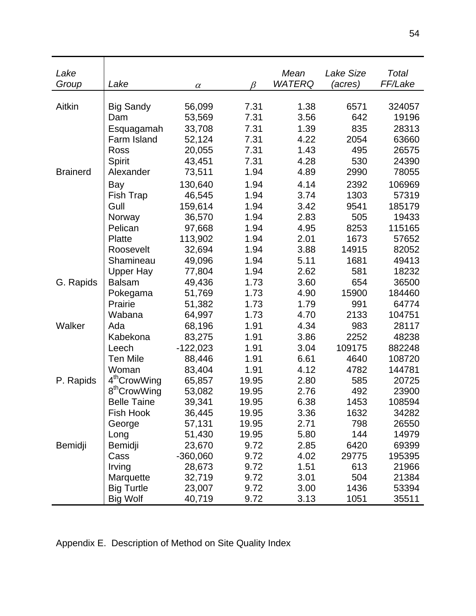| Lake            |                          |            |              | Mean          | Lake Size   | Total           |
|-----------------|--------------------------|------------|--------------|---------------|-------------|-----------------|
| Group           | Lake                     | $\alpha$   | β            | <b>WATERQ</b> | (acres)     | FF/Lake         |
|                 |                          |            |              |               |             |                 |
| Aitkin          | <b>Big Sandy</b><br>Dam  | 56,099     | 7.31<br>7.31 | 1.38<br>3.56  | 6571<br>642 | 324057<br>19196 |
|                 |                          | 53,569     |              |               |             |                 |
|                 | Esquagamah               | 33,708     | 7.31         | 1.39          | 835         | 28313           |
|                 | Farm Island              | 52,124     | 7.31         | 4.22          | 2054        | 63660           |
|                 | Ross                     | 20,055     | 7.31         | 1.43          | 495         | 26575           |
|                 | Spirit                   | 43,451     | 7.31         | 4.28          | 530         | 24390           |
| <b>Brainerd</b> | Alexander                | 73,511     | 1.94         | 4.89          | 2990        | 78055           |
|                 | Bay                      | 130,640    | 1.94         | 4.14          | 2392        | 106969          |
|                 | Fish Trap                | 46,545     | 1.94         | 3.74          | 1303        | 57319           |
|                 | Gull                     | 159,614    | 1.94         | 3.42          | 9541        | 185179          |
|                 | Norway                   | 36,570     | 1.94         | 2.83          | 505         | 19433           |
|                 | Pelican                  | 97,668     | 1.94         | 4.95          | 8253        | 115165          |
|                 | Platte                   | 113,902    | 1.94         | 2.01          | 1673        | 57652           |
|                 | Roosevelt                | 32,694     | 1.94         | 3.88          | 14915       | 82052           |
|                 | Shamineau                | 49,096     | 1.94         | 5.11          | 1681        | 49413           |
|                 | <b>Upper Hay</b>         | 77,804     | 1.94         | 2.62          | 581         | 18232           |
| G. Rapids       | <b>Balsam</b>            | 49,436     | 1.73         | 3.60          | 654         | 36500           |
|                 | Pokegama                 | 51,769     | 1.73         | 4.90          | 15900       | 184460          |
|                 | Prairie                  | 51,382     | 1.73         | 1.79          | 991         | 64774           |
|                 | Wabana                   | 64,997     | 1.73         | 4.70          | 2133        | 104751          |
| Walker          | Ada                      | 68,196     | 1.91         | 4.34          | 983         | 28117           |
|                 | Kabekona                 | 83,275     | 1.91         | 3.86          | 2252        | 48238           |
|                 | Leech                    | $-122,023$ | 1.91         | 3.04          | 109175      | 882248          |
|                 | <b>Ten Mile</b>          | 88,446     | 1.91         | 6.61          | 4640        | 108720          |
|                 | Woman                    | 83,404     | 1.91         | 4.12          | 4782        | 144781          |
| P. Rapids       | 4 <sup>th</sup> CrowWing | 65,857     | 19.95        | 2.80          | 585         | 20725           |
|                 | 8 <sup>th</sup> CrowWing | 53,082     | 19.95        | 2.76          | 492         | 23900           |
|                 | <b>Belle Taine</b>       | 39,341     | 19.95        | 6.38          | 1453        | 108594          |
|                 | <b>Fish Hook</b>         | 36,445     | 19.95        | 3.36          | 1632        | 34282           |
|                 | George                   | 57,131     | 19.95        | 2.71          | 798         | 26550           |
|                 | Long                     | 51,430     | 19.95        | 5.80          | 144         | 14979           |
| Bemidji         | Bemidji                  | 23,670     | 9.72         | 2.85          | 6420        | 69399           |
|                 | Cass                     | $-360,060$ | 9.72         | 4.02          | 29775       | 195395          |
|                 | Irving                   | 28,673     | 9.72         | 1.51          | 613         | 21966           |
|                 | Marquette                | 32,719     | 9.72         | 3.01          | 504         | 21384           |
|                 | <b>Big Turtle</b>        | 23,007     | 9.72         | 3.00          | 1436        | 53394           |
|                 | <b>Big Wolf</b>          | 40,719     | 9.72         | 3.13          | 1051        | 35511           |

Appendix E. Description of Method on Site Quality Index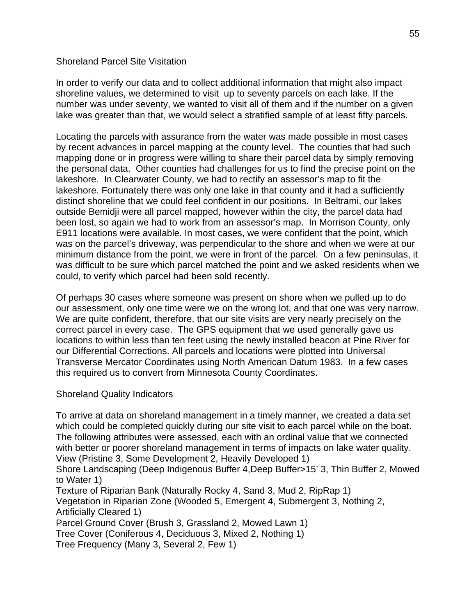# Shoreland Parcel Site Visitation

In order to verify our data and to collect additional information that might also impact shoreline values, we determined to visit up to seventy parcels on each lake. If the number was under seventy, we wanted to visit all of them and if the number on a given lake was greater than that, we would select a stratified sample of at least fifty parcels.

Locating the parcels with assurance from the water was made possible in most cases by recent advances in parcel mapping at the county level. The counties that had such mapping done or in progress were willing to share their parcel data by simply removing the personal data. Other counties had challenges for us to find the precise point on the lakeshore. In Clearwater County, we had to rectify an assessor's map to fit the lakeshore. Fortunately there was only one lake in that county and it had a sufficiently distinct shoreline that we could feel confident in our positions. In Beltrami, our lakes outside Bemidji were all parcel mapped, however within the city, the parcel data had been lost, so again we had to work from an assessor's map. In Morrison County, only E911 locations were available. In most cases, we were confident that the point, which was on the parcel's driveway, was perpendicular to the shore and when we were at our minimum distance from the point, we were in front of the parcel. On a few peninsulas, it was difficult to be sure which parcel matched the point and we asked residents when we could, to verify which parcel had been sold recently.

Of perhaps 30 cases where someone was present on shore when we pulled up to do our assessment, only one time were we on the wrong lot, and that one was very narrow. We are quite confident, therefore, that our site visits are very nearly precisely on the correct parcel in every case. The GPS equipment that we used generally gave us locations to within less than ten feet using the newly installed beacon at Pine River for our Differential Corrections. All parcels and locations were plotted into Universal Transverse Mercator Coordinates using North American Datum 1983. In a few cases this required us to convert from Minnesota County Coordinates.

# Shoreland Quality Indicators

To arrive at data on shoreland management in a timely manner, we created a data set which could be completed quickly during our site visit to each parcel while on the boat. The following attributes were assessed, each with an ordinal value that we connected with better or poorer shoreland management in terms of impacts on lake water quality. View (Pristine 3, Some Development 2, Heavily Developed 1)

Shore Landscaping (Deep Indigenous Buffer 4,Deep Buffer>15' 3, Thin Buffer 2, Mowed to Water 1)

Texture of Riparian Bank (Naturally Rocky 4, Sand 3, Mud 2, RipRap 1) Vegetation in Riparian Zone (Wooded 5, Emergent 4, Submergent 3, Nothing 2, Artificially Cleared 1) Parcel Ground Cover (Brush 3, Grassland 2, Mowed Lawn 1)

Tree Cover (Coniferous 4, Deciduous 3, Mixed 2, Nothing 1)

Tree Frequency (Many 3, Several 2, Few 1)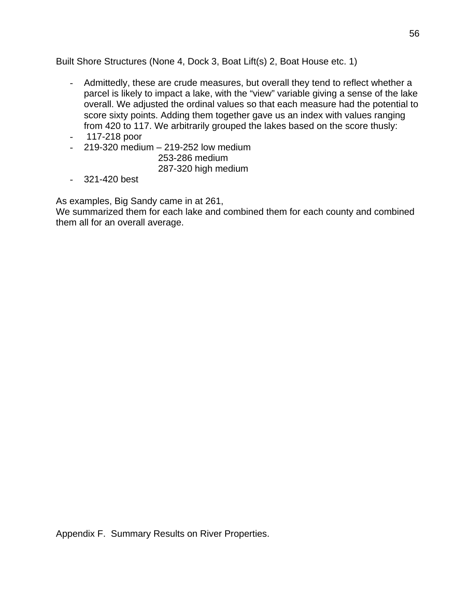Built Shore Structures (None 4, Dock 3, Boat Lift(s) 2, Boat House etc. 1)

- Admittedly, these are crude measures, but overall they tend to reflect whether a parcel is likely to impact a lake, with the "view" variable giving a sense of the lake overall. We adjusted the ordinal values so that each measure had the potential to score sixty points. Adding them together gave us an index with values ranging from 420 to 117. We arbitrarily grouped the lakes based on the score thusly:
- 117-218 poor
- 219-320 medium 219-252 low medium

 253-286 medium 287-320 high medium

- 321-420 best

As examples, Big Sandy came in at 261,

We summarized them for each lake and combined them for each county and combined them all for an overall average.

Appendix F. Summary Results on River Properties.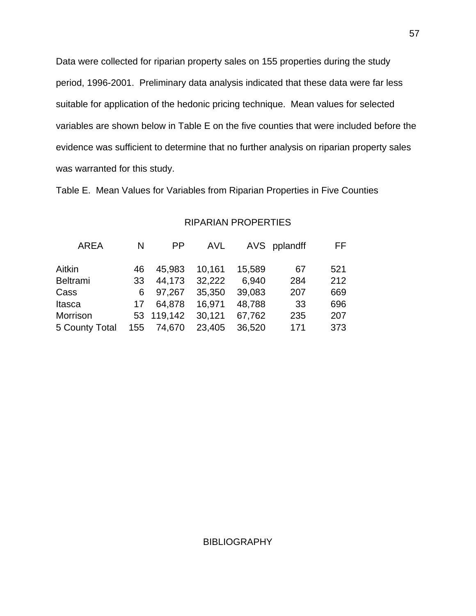Data were collected for riparian property sales on 155 properties during the study period, 1996-2001. Preliminary data analysis indicated that these data were far less suitable for application of the hedonic pricing technique. Mean values for selected variables are shown below in Table E on the five counties that were included before the evidence was sufficient to determine that no further analysis on riparian property sales was warranted for this study.

Table E. Mean Values for Variables from Riparian Properties in Five Counties

| <b>AREA</b>     | N   | PP.        | AVL    |        | AVS pplandff | FF. |
|-----------------|-----|------------|--------|--------|--------------|-----|
| Aitkin          | 46  | 45,983     | 10,161 | 15,589 | 67           | 521 |
| <b>Beltrami</b> | 33  | 44.173     | 32,222 | 6.940  | 284          | 212 |
| Cass            | 6   | 97.267     | 35,350 | 39,083 | 207          | 669 |
| Itasca          | 17  | 64.878     | 16,971 | 48,788 | 33           | 696 |
| Morrison        |     | 53 119,142 | 30,121 | 67,762 | 235          | 207 |
| 5 County Total  | 155 | 74,670     | 23,405 | 36,520 | 171          | 373 |

## RIPARIAN PROPERTIES

#### BIBLIOGRAPHY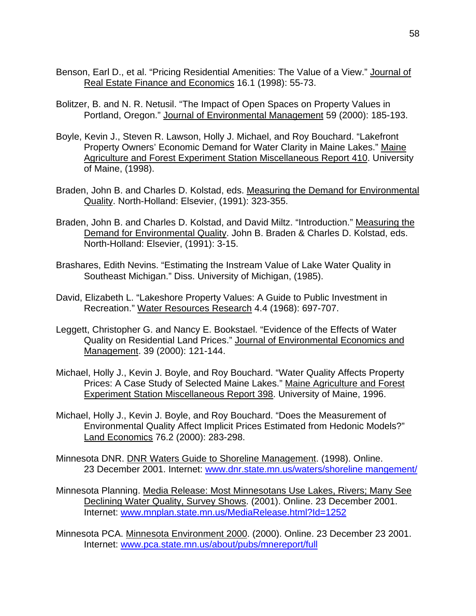- Benson, Earl D., et al. "Pricing Residential Amenities: The Value of a View." Journal of Real Estate Finance and Economics 16.1 (1998): 55-73.
- Bolitzer, B. and N. R. Netusil. "The Impact of Open Spaces on Property Values in Portland, Oregon." Journal of Environmental Management 59 (2000): 185-193.
- Boyle, Kevin J., Steven R. Lawson, Holly J. Michael, and Roy Bouchard. "Lakefront Property Owners' Economic Demand for Water Clarity in Maine Lakes." Maine Agriculture and Forest Experiment Station Miscellaneous Report 410. University of Maine, (1998).
- Braden, John B. and Charles D. Kolstad, eds. Measuring the Demand for Environmental Quality. North-Holland: Elsevier, (1991): 323-355.
- Braden, John B. and Charles D. Kolstad, and David Miltz. "Introduction." Measuring the Demand for Environmental Quality. John B. Braden & Charles D. Kolstad, eds. North-Holland: Elsevier, (1991): 3-15.
- Brashares, Edith Nevins. "Estimating the Instream Value of Lake Water Quality in Southeast Michigan." Diss. University of Michigan, (1985).
- David, Elizabeth L. "Lakeshore Property Values: A Guide to Public Investment in Recreation." Water Resources Research 4.4 (1968): 697-707.
- Leggett, Christopher G. and Nancy E. Bookstael. "Evidence of the Effects of Water Quality on Residential Land Prices." Journal of Environmental Economics and Management. 39 (2000): 121-144.
- Michael, Holly J., Kevin J. Boyle, and Roy Bouchard. "Water Quality Affects Property Prices: A Case Study of Selected Maine Lakes." Maine Agriculture and Forest Experiment Station Miscellaneous Report 398. University of Maine, 1996.
- Michael, Holly J., Kevin J. Boyle, and Roy Bouchard. "Does the Measurement of Environmental Quality Affect Implicit Prices Estimated from Hedonic Models?" Land Economics 76.2 (2000): 283-298.
- Minnesota DNR. DNR Waters Guide to Shoreline Management. (1998). Online. 23 December 2001. Internet: www.dnr.state.mn.us/waters/shoreline mangement/
- Minnesota Planning. Media Release: Most Minnesotans Use Lakes, Rivers; Many See Declining Water Quality, Survey Shows. (2001). Online. 23 December 2001. Internet: www.mnplan.state.mn.us/MediaRelease.html?Id=1252
- Minnesota PCA. Minnesota Environment 2000. (2000). Online. 23 December 23 2001. Internet: www.pca.state.mn.us/about/pubs/mnereport/full